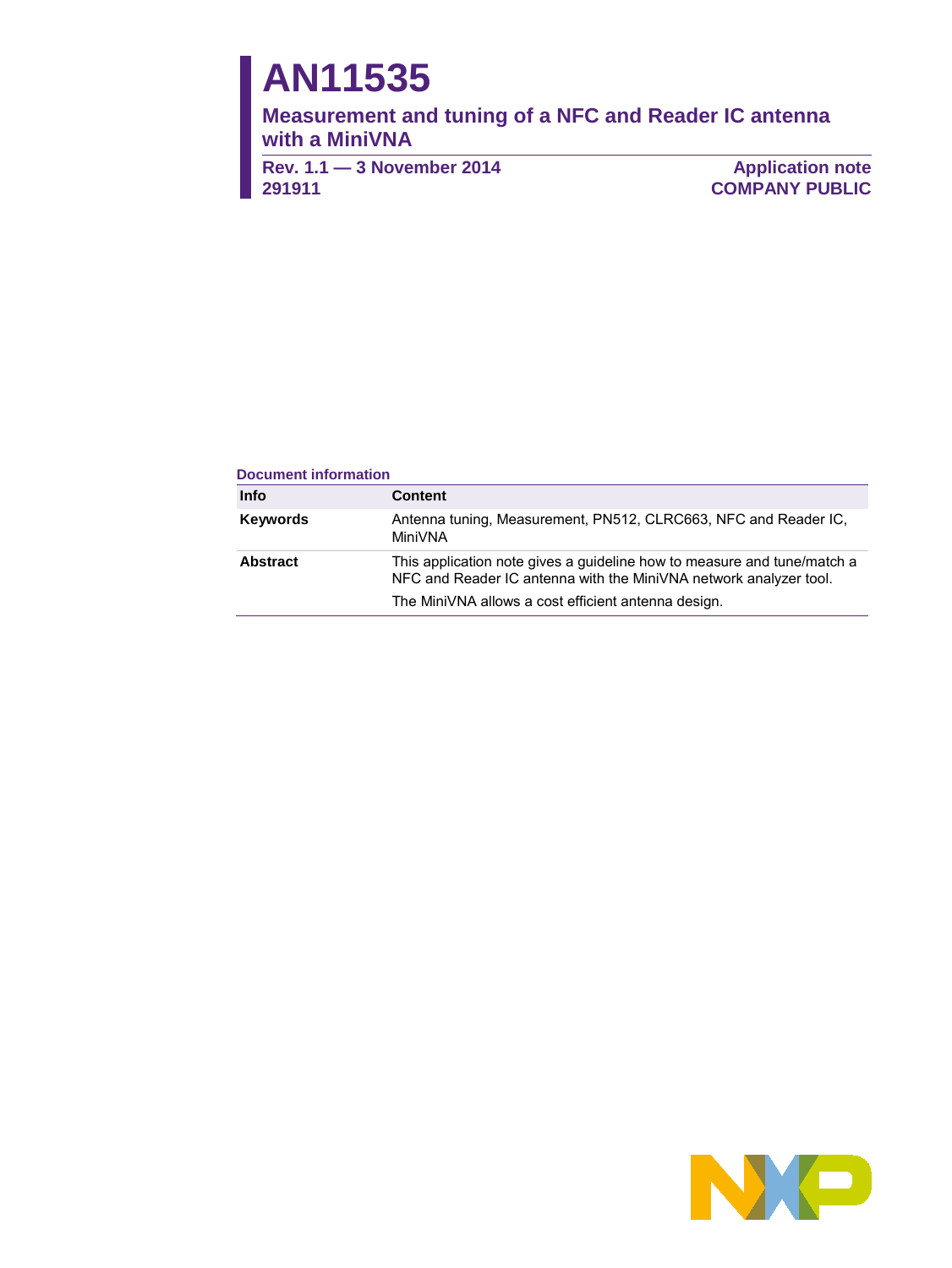# **AN11535**

**Measurement and tuning of a NFC and Reader IC antenna with a MiniVNA**

**Rev. 1.1 — 3 November 2014 291911**

**Application note COMPANY PUBLIC**

#### **Document information**

| Info            | <b>Content</b>                                                                                                                               |
|-----------------|----------------------------------------------------------------------------------------------------------------------------------------------|
| <b>Keywords</b> | Antenna tuning, Measurement, PN512, CLRC663, NFC and Reader IC,<br>MiniVNA                                                                   |
| Abstract        | This application note gives a quideline how to measure and tune/match a<br>NFC and Reader IC antenna with the MiniVNA network analyzer tool. |
|                 | The MiniVNA allows a cost efficient antenna design.                                                                                          |

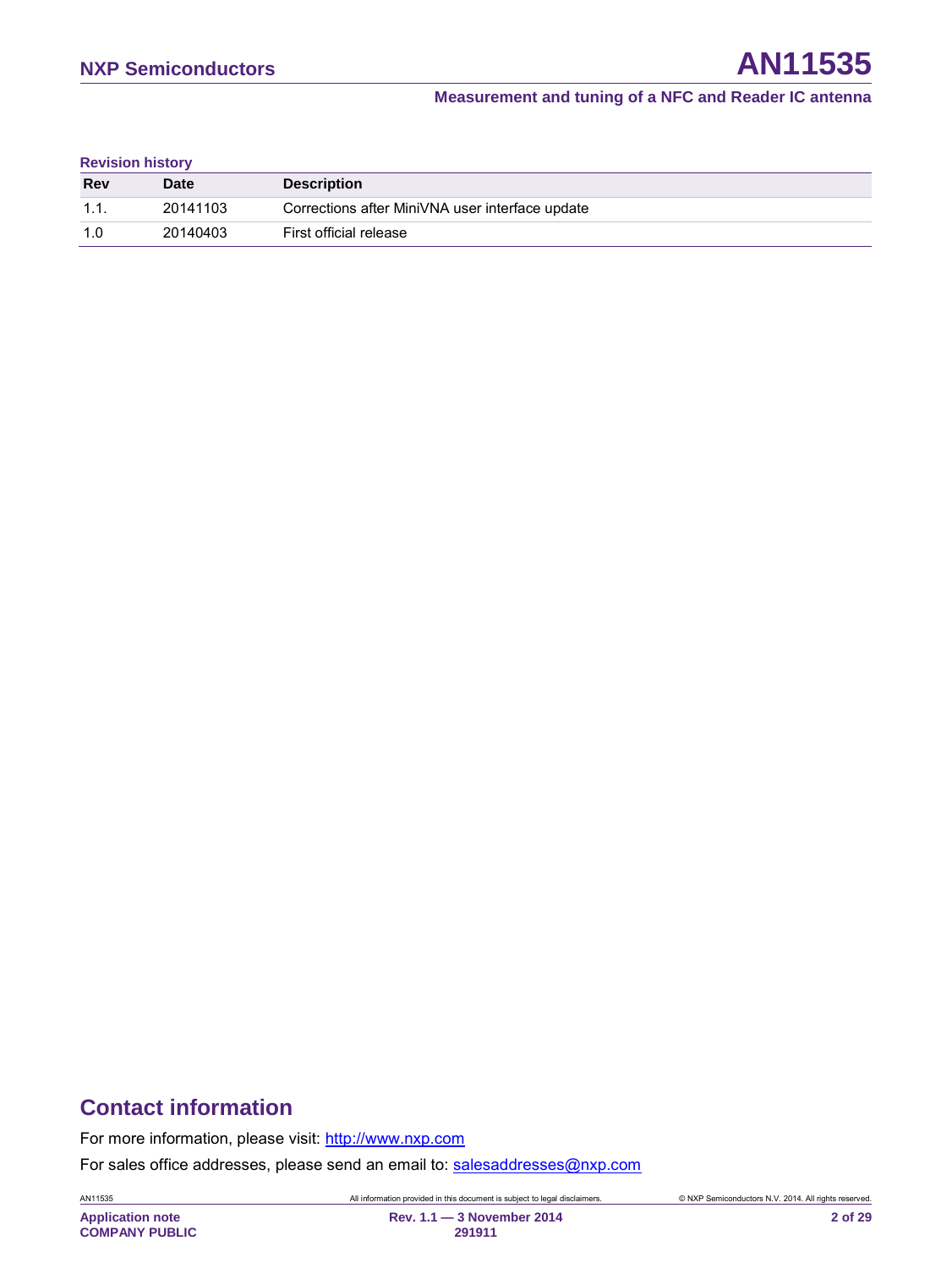**Revision history**

| <b>Rev</b> | <b>Date</b> | <b>Description</b>                              |
|------------|-------------|-------------------------------------------------|
| 1.1.       | 20141103    | Corrections after MiniVNA user interface update |
| _1 N       | 20140403    | First official release                          |

# **Contact information**

For more information, please visit: [http://www.nxp.com](http://www.nxp.com/)

For sales office addresses, please send an email to: [salesaddresses@nxp.com](mailto:salesaddresses@nxp.com)

AN11535 All information provided in this document is subject to legal disclaimers. © NXP Semiconductors N.V. 2014. All rights reserved.

**Application note COMPANY PUBLIC**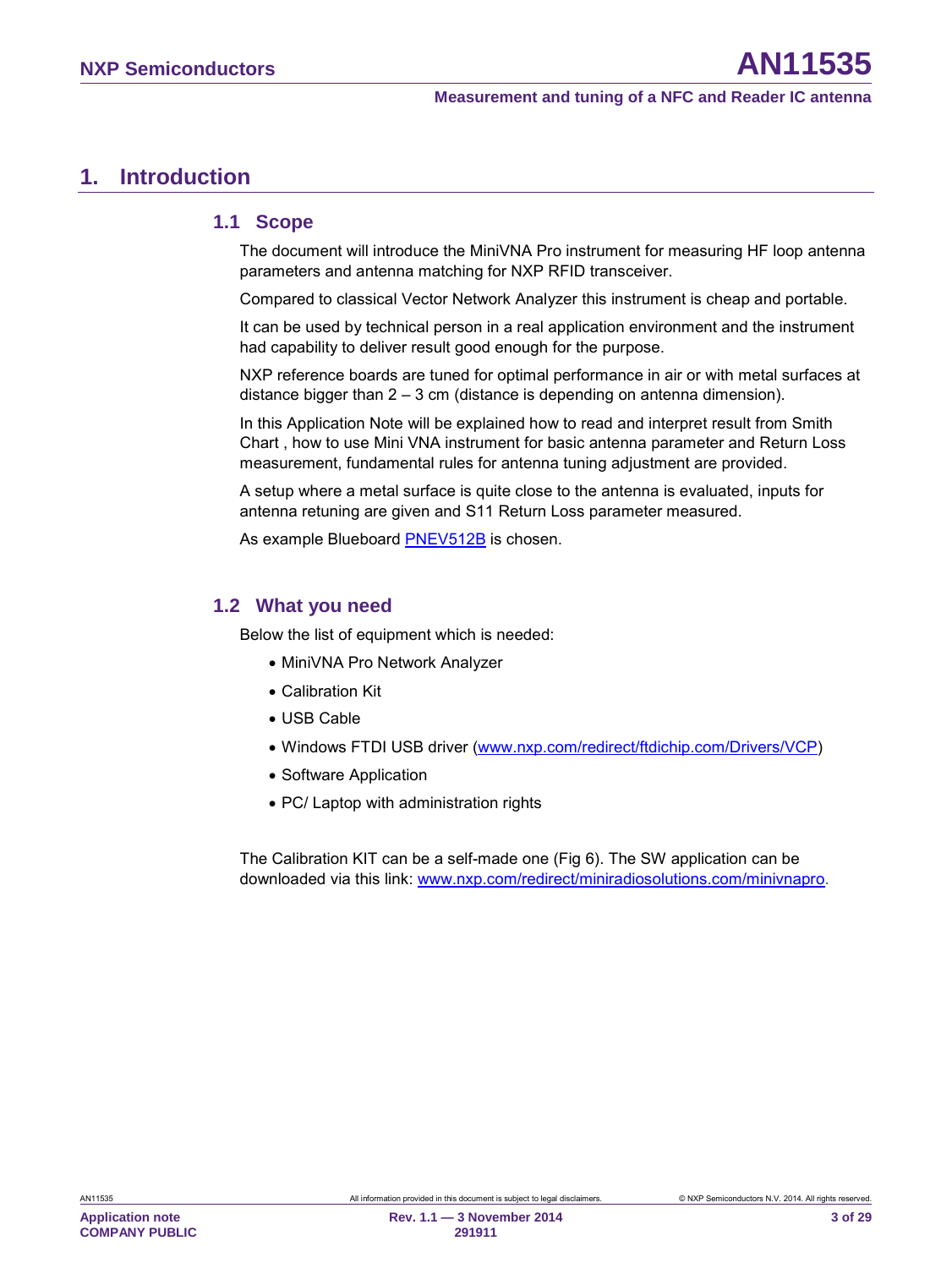## <span id="page-2-0"></span>**1. Introduction**

#### <span id="page-2-1"></span>**1.1 Scope**

The document will introduce the MiniVNA Pro instrument for measuring HF loop antenna parameters and antenna matching for NXP RFID transceiver.

Compared to classical Vector Network Analyzer this instrument is cheap and portable.

It can be used by technical person in a real application environment and the instrument had capability to deliver result good enough for the purpose.

NXP reference boards are tuned for optimal performance in air or with metal surfaces at distance bigger than 2 – 3 cm (distance is depending on antenna dimension).

In this Application Note will be explained how to read and interpret result from Smith Chart , how to use Mini VNA instrument for basic antenna parameter and Return Loss measurement, fundamental rules for antenna tuning adjustment are provided.

A setup where a metal surface is quite close to the antenna is evaluated, inputs for antenna retuning are given and S11 Return Loss parameter measured.

As example Blueboard [PNEV512B](#page-24-0) is chosen.

#### <span id="page-2-2"></span>**1.2 What you need**

Below the list of equipment which is needed:

- MiniVNA Pro Network Analyzer
- Calibration Kit
- USB Cable
- Windows FTDI USB driver [\(www.nxp.com/redirect/ftdichip.com/Drivers/VCP\)](http://www.nxp.com/redirect/ftdichip.com/Drivers/VCP)
- Software Application
- PC/ Laptop with administration rights

The Calibration KIT can be a self-made one [\(Fig 6\)](#page-6-0). The SW application can be downloaded via this link: [www.nxp.com/redirect/miniradiosolutions.com/minivnapro.](http://www.nxp.com/redirect/miniradiosolutions.com/minivnapro)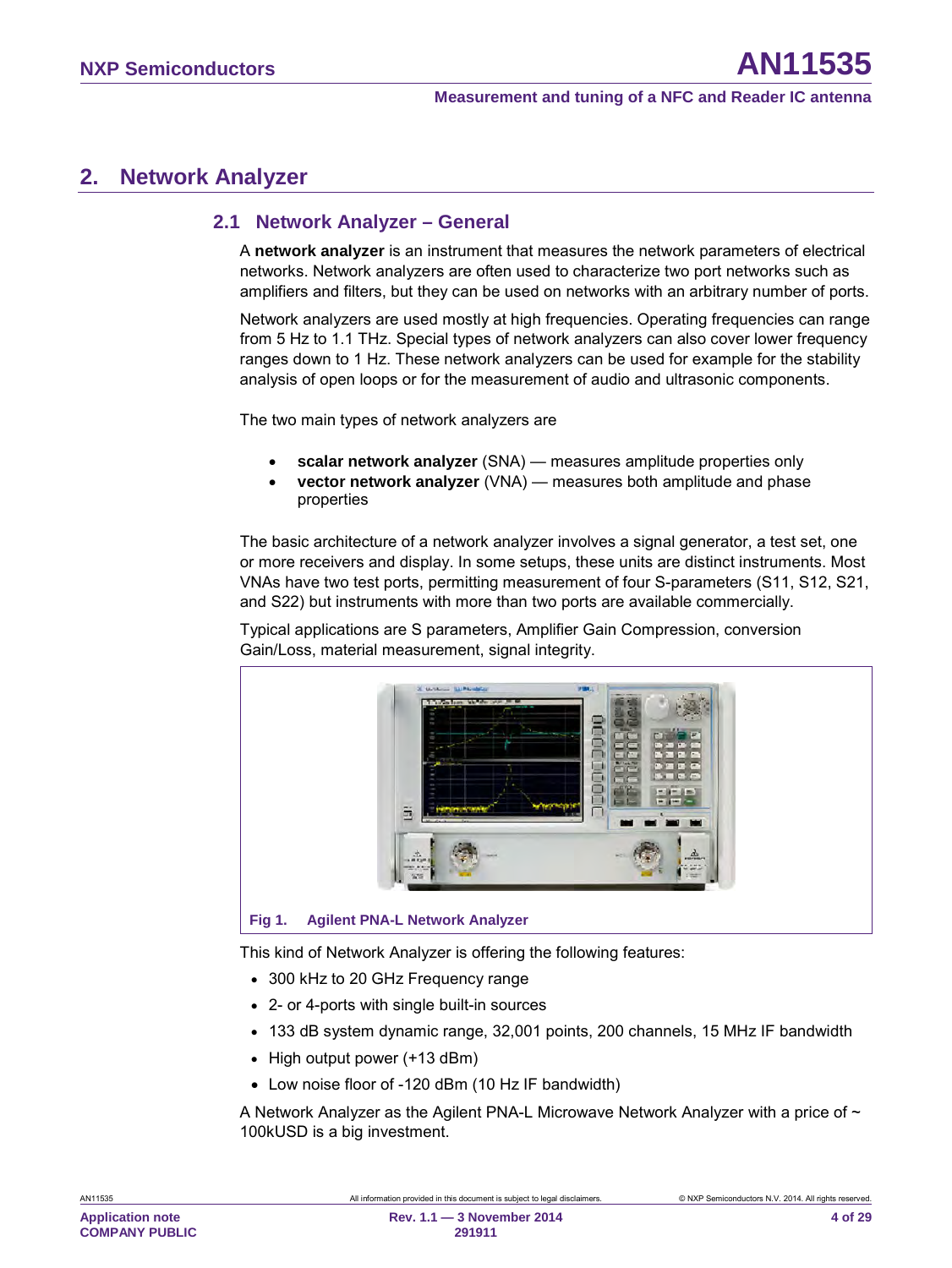# <span id="page-3-1"></span>**2. Network Analyzer**

#### <span id="page-3-2"></span>**2.1 Network Analyzer – General**

A **network analyzer** is an instrument that measures the network parameters of electrical networks. Network analyzers are often used to characterize two port networks such as amplifiers and filters, but they can be used on networks with an arbitrary number of ports.

Network analyzers are used mostly at high frequencies. Operating frequencies can range from 5 Hz to 1.1 THz. Special types of network analyzers can also cover lower frequency ranges down to 1 Hz. These network analyzers can be used for example for the stability analysis of open loops or for the measurement of audio and ultrasonic components.

The two main types of network analyzers are

- **scalar network analyzer** (SNA) measures amplitude properties only
- **vector network analyzer** (VNA) measures both amplitude and phase properties

The basic architecture of a network analyzer involves a signal generator, a test set, one or more receivers and display. In some setups, these units are distinct instruments. Most VNAs have two test ports, permitting measurement of four S-parameters (S11, S12, S21, and S22) but instruments with more than two ports are available commercially.

Typical applications are S parameters, Amplifier Gain Compression, conversion Gain/Loss, material measurement, signal integrity.



<span id="page-3-0"></span>This kind of Network Analyzer is offering the following features:

- 300 kHz to 20 GHz Frequency range
- 2- or 4-ports with single built-in sources
- 133 dB system dynamic range, 32,001 points, 200 channels, 15 MHz IF bandwidth
- High output power (+13 dBm)
- Low noise floor of -120 dBm (10 Hz IF bandwidth)

A Network Analyzer as the Agilent PNA-L Microwave Network Analyzer with a price of  $\sim$ 100kUSD is a big investment.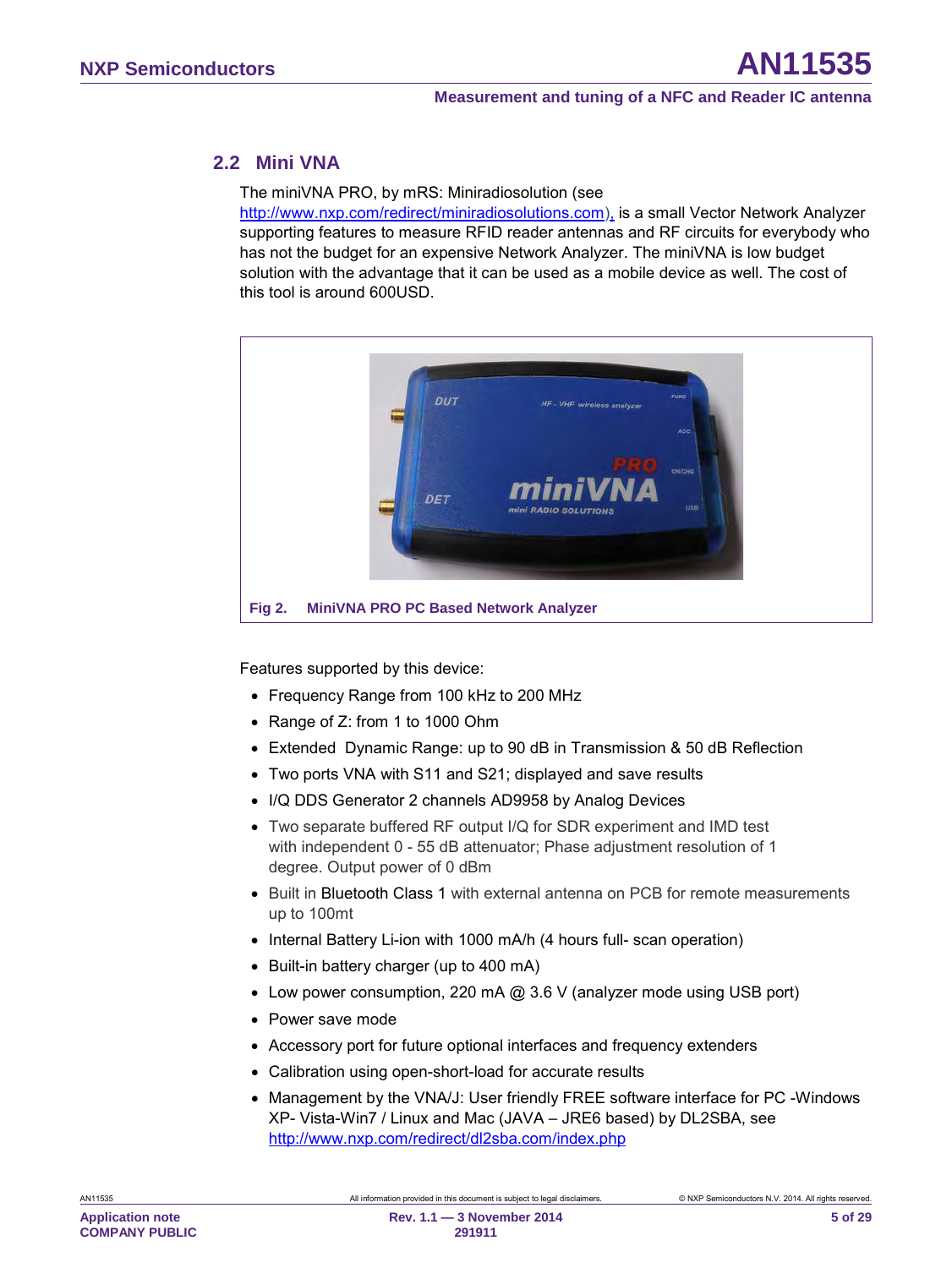#### <span id="page-4-1"></span>**2.2 Mini VNA**

The miniVNA PRO, by mRS: Miniradiosolution (see

[http://www.nxp.com/redirect/miniradiosolutions.com\)](http://www.nxp.com/redirect/miniradiosolutions.com), is a small Vector Network Analyzer supporting features to measure RFID reader antennas and RF circuits for everybody who has not the budget for an expensive Network Analyzer. The miniVNA is low budget solution with the advantage that it can be used as a mobile device as well. The cost of this tool is around 600USD.



<span id="page-4-0"></span>Features supported by this device:

- Frequency Range from 100 kHz to 200 MHz
- Range of Z: from 1 to 1000 Ohm
- Extended Dynamic Range: up to 90 dB in Transmission & 50 dB Reflection
- Two ports VNA with S11 and S21; displayed and save results
- I/Q DDS Generator 2 channels AD9958 by Analog Devices
- Two separate buffered RF output I/Q for SDR experiment and IMD test with independent 0 - 55 dB attenuator; Phase adjustment resolution of 1 degree. Output power of 0 dBm
- Built in Bluetooth Class 1 with external antenna on PCB for remote measurements up to 100mt
- Internal Battery Li-ion with 1000 mA/h (4 hours full- scan operation)
- Built-in battery charger (up to 400 mA)
- Low power consumption, 220 mA @ 3.6 V (analyzer mode using USB port)
- Power save mode
- Accessory port for future optional interfaces and frequency extenders
- Calibration using open-short-load for accurate results
- Management by the VNA/J: User friendly FREE software interface for PC -Windows XP- Vista-Win7 / Linux and Mac (JAVA – JRE6 based) by DL2SBA, see <http://www.nxp.com/redirect/dl2sba.com/index.php>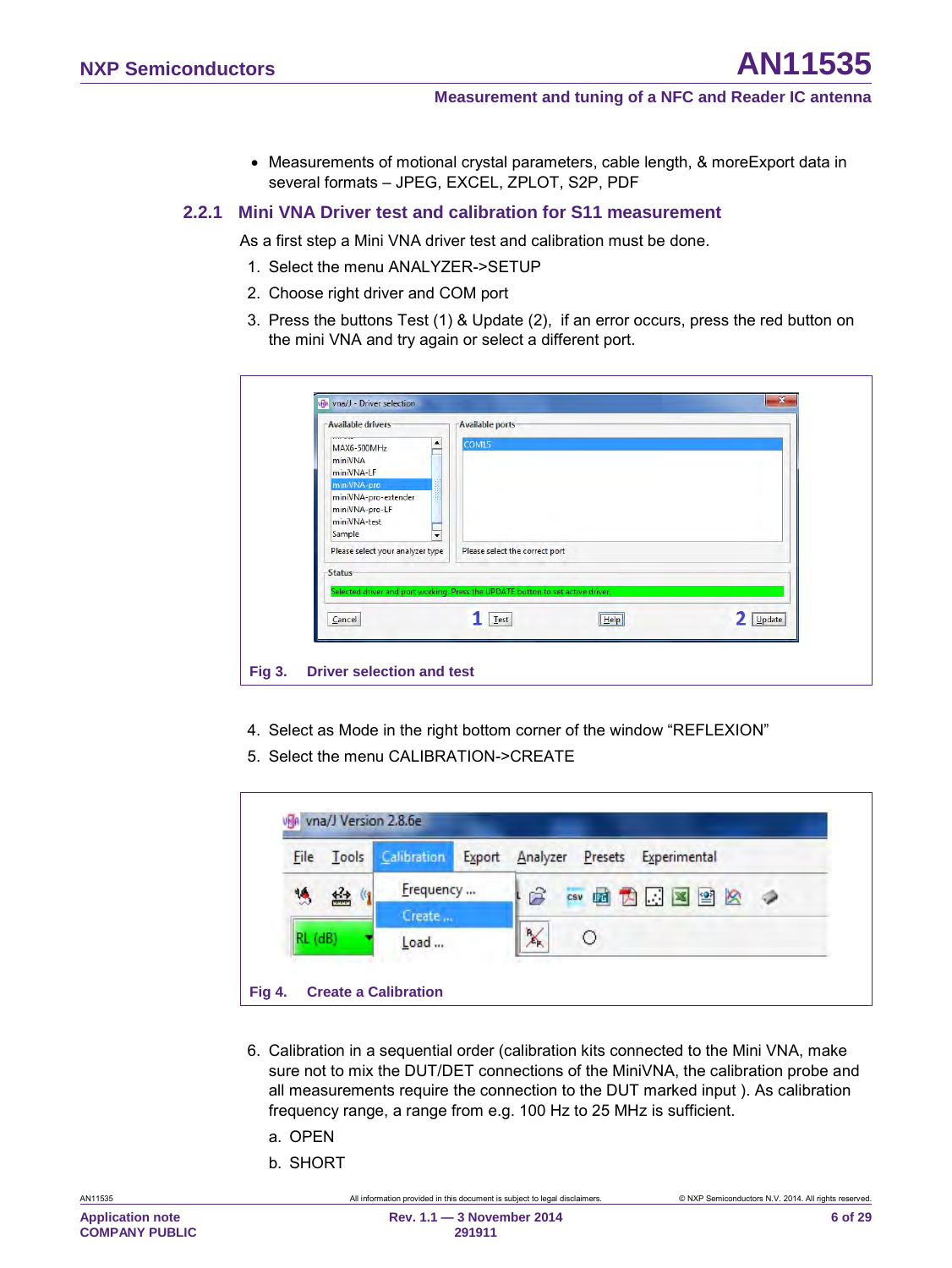<span id="page-5-2"></span>• Measurements of motional crystal parameters, cable length, & moreExport data in several formats – JPEG, EXCEL, ZPLOT, S2P, PDF

#### **2.2.1 Mini VNA Driver test and calibration for S11 measurement**

As a first step a Mini VNA driver test and calibration must be done.

- 1. Select the menu ANALYZER->SETUP
- 2. Choose right driver and COM port
- 3. Press the buttons Test (1) & Update (2), if an error occurs, press the red button on the mini VNA and try again or select a different port.

| - Available drivers-<br>۸<br>MAX6-500MHz<br>miniVNA<br>miniVNA-LF<br>miniVNA-pro<br>miniVNA-pro-extender<br>miniVNA-pro-LF | Available ports-<br>COM15      |    |        |
|----------------------------------------------------------------------------------------------------------------------------|--------------------------------|----|--------|
| miniVNA-test<br>Sample<br>٠<br>Please select your analyzer type<br>-Status-                                                | Please select the correct port |    |        |
| Selected driver and port working. Press the UPDATE button to set active driver.                                            |                                |    |        |
| Cancel                                                                                                                     | ${\underline{\mathsf{Test}}}$  | He | Update |

- <span id="page-5-0"></span>4. Select as Mode in the right bottom corner of the window "REFLEXION"
- 5. Select the menu CALIBRATION->CREATE

| File                 | Tools | Calibration | Export<br>Analyzer<br>Presets<br>Experimental |
|----------------------|-------|-------------|-----------------------------------------------|
| $\frac{1}{\sqrt{2}}$ | 经图    | Frequency   | Ê<br>csv 面内工图图                                |
|                      |       | Create      |                                               |
| $RL$ ( $dB$ )        |       | Load        | $\frac{R}{\mathcal{E}_K}$                     |

- <span id="page-5-1"></span>6. Calibration in a sequential order (calibration kits connected to the Mini VNA, make sure not to mix the DUT/DET connections of the MiniVNA, the calibration probe and all measurements require the connection to the DUT marked input ). As calibration frequency range, a range from e.g. 100 Hz to 25 MHz is sufficient.
	- a. OPEN
	- b. SHORT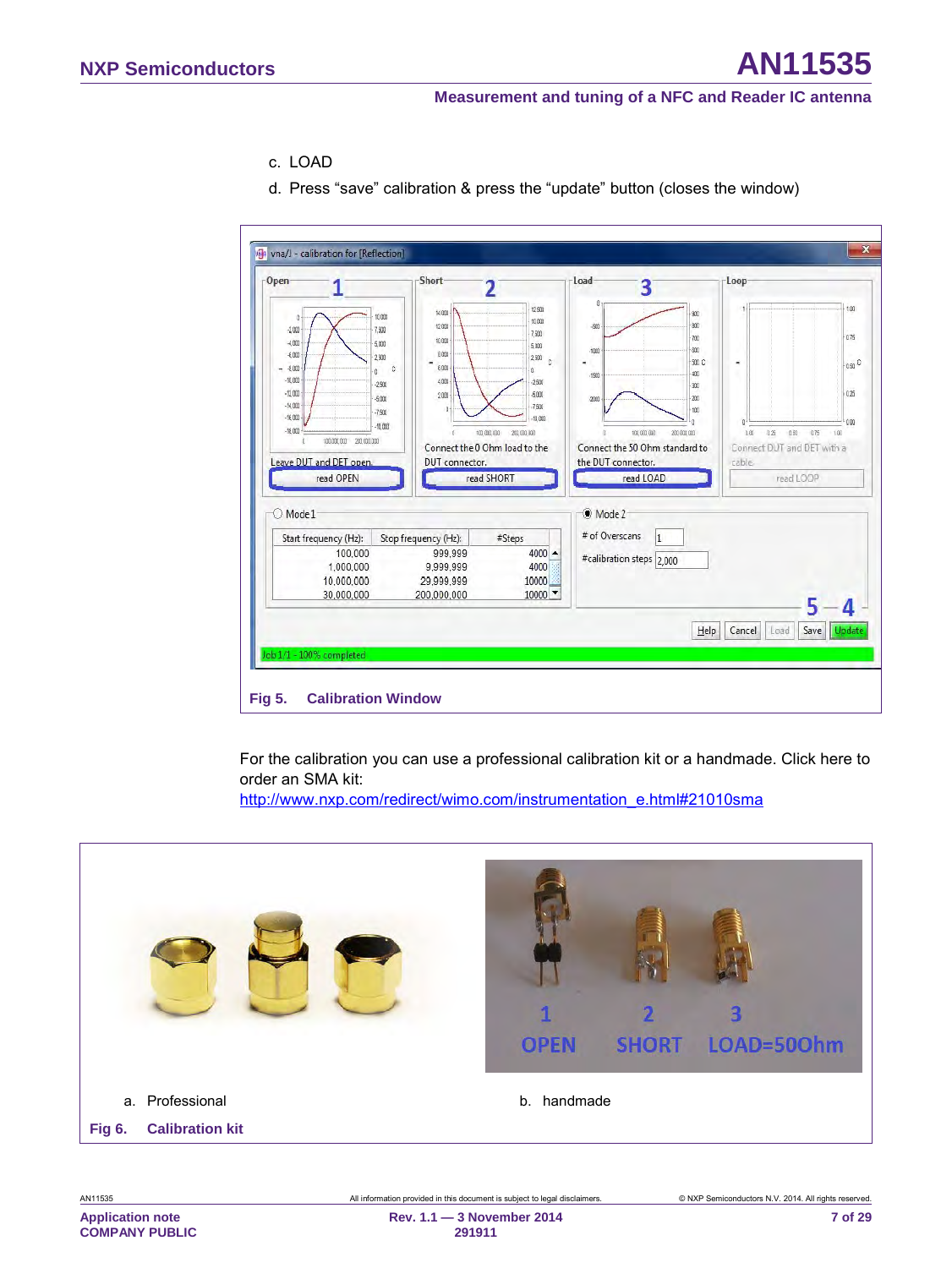- c. LOAD
- d. Press "save" calibration & press the "update" button (closes the window)



<span id="page-6-1"></span>For the calibration you can use a professional calibration kit or a handmade. Click here to order an SMA kit:

[http://www.nxp.com/redirect/wimo.com/instrumentation\\_e.html#21010sma](http://www.nxp.com/redirect/wimo.com/instrumentation_e.html#21010sma)

<span id="page-6-0"></span>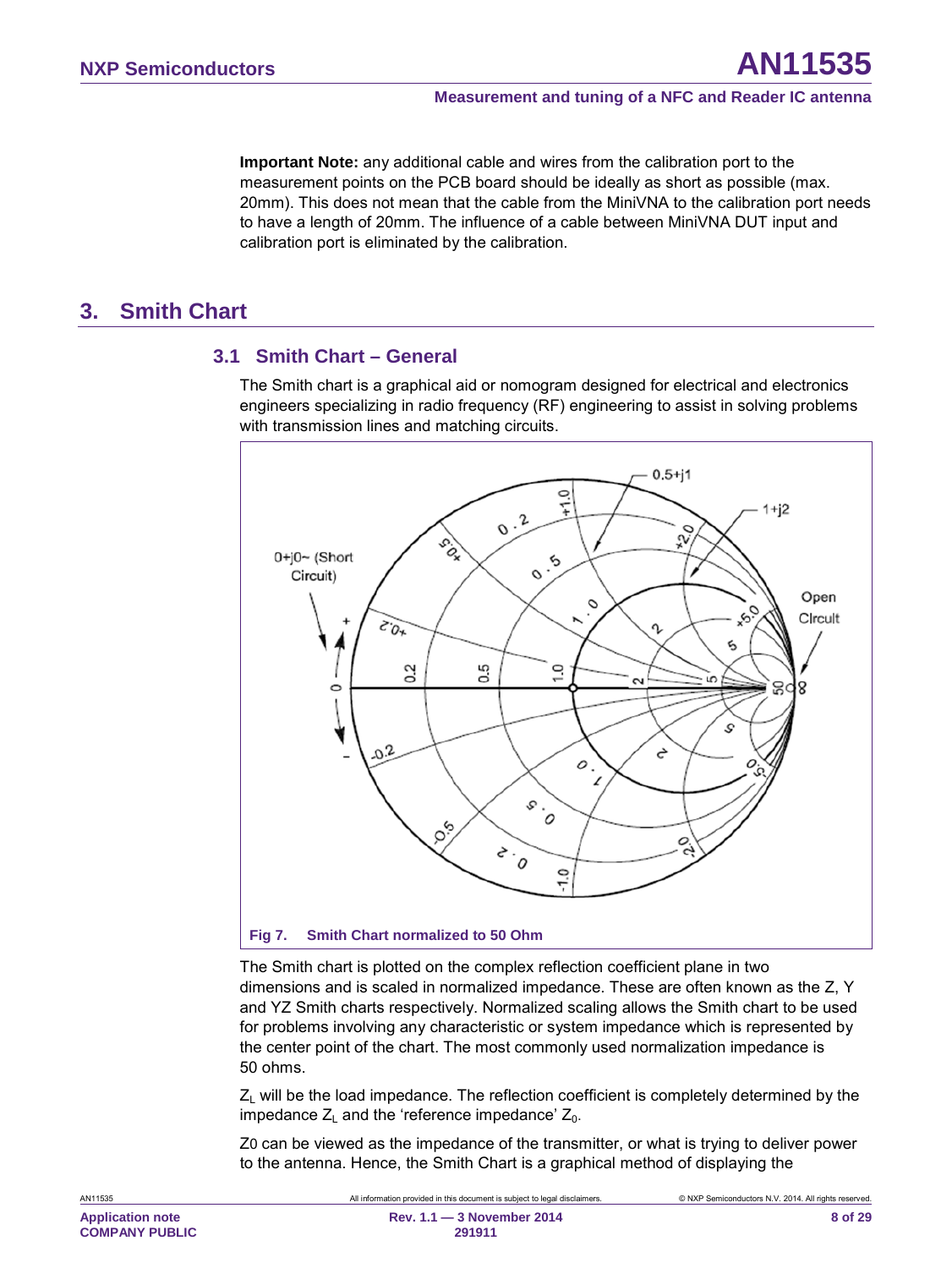**Important Note:** any additional cable and wires from the calibration port to the measurement points on the PCB board should be ideally as short as possible (max. 20mm). This does not mean that the cable from the MiniVNA to the calibration port needs to have a length of 20mm. The influence of a cable between MiniVNA DUT input and calibration port is eliminated by the calibration.

# <span id="page-7-1"></span>**3. Smith Chart**

#### <span id="page-7-2"></span>**3.1 Smith Chart – General**

The Smith chart is a graphical aid or [nomogram](http://en.wikipedia.org/wiki/Nomogram) designed for [electrical and electronics](http://en.wikipedia.org/wiki/Electrical_engineering)  [engineers](http://en.wikipedia.org/wiki/Electrical_engineering) specializing in [radio frequency](http://en.wikipedia.org/wiki/Radio_frequency) (RF) engineering to assist in solving problems with [transmission lines](http://en.wikipedia.org/wiki/Transmission_line) and [matching](http://en.wikipedia.org/wiki/Impedance_matching) circuits.



<span id="page-7-0"></span>The Smith chart is plotted on the [complex](http://en.wikipedia.org/wiki/Complex_number) [reflection coefficient](http://en.wikipedia.org/wiki/Reflection_coefficient) plane in [two](http://en.wikipedia.org/wiki/Dimension)  [dimensions](http://en.wikipedia.org/wiki/Dimension) and is scaled in normalized [impedance.](http://en.wikipedia.org/wiki/Electrical_impedance) These are often known as the Z, Y and YZ Smith charts respectively. Normalized scaling allows the Smith chart to be used for problems involving any [characteristic](http://en.wikipedia.org/wiki/Characteristic_impedance) or system impedance which is represented by the center point of the chart. The most commonly used normalization impedance is 50 [ohms.](http://en.wikipedia.org/wiki/Ohm)

 $Z_L$  will be the load impedance. The reflection coefficient is completely determined by the impedance  $Z_L$  and the 'reference impedance'  $Z_0$ .

Z0 can be viewed as the impedance of the transmitter, or what is trying to deliver power to the antenna. Hence, the Smith Chart is a graphical method of displaying the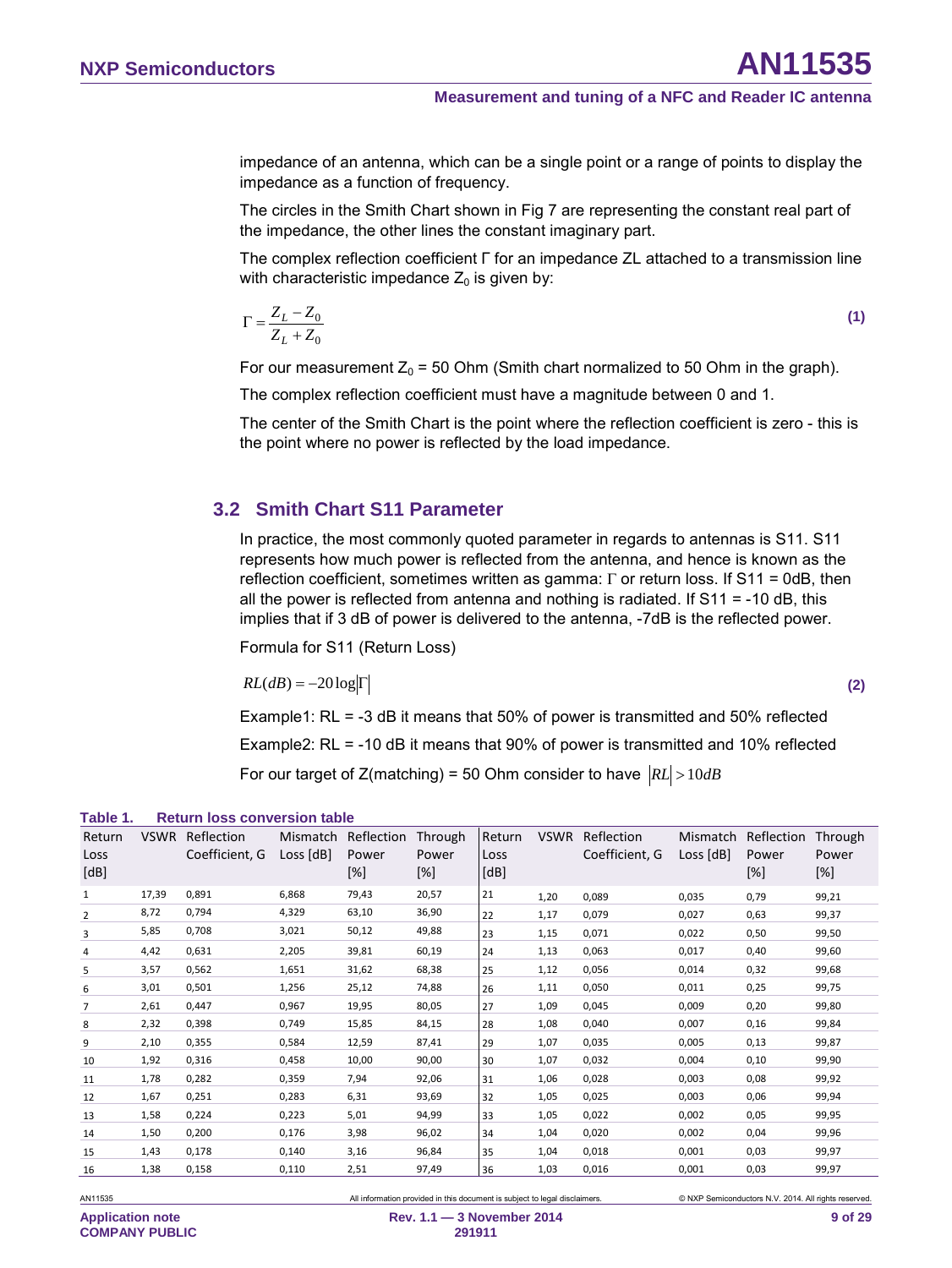impedance of an antenna, which can be a single point or a range of points to display the impedance as a function of frequency.

The circles in the Smith Chart shown in [Fig 7](#page-7-0) are representing the constant real part of the impedance, the other lines the constant imaginary part.

The complex reflection coefficient Г for an impedance ZL attached to a transmission line with characteristic impedance  $Z_0$  is given by:

$$
\Gamma = \frac{Z_L - Z_0}{Z_L + Z_0} \tag{1}
$$

For our measurement  $Z_0 = 50$  Ohm (Smith chart normalized to 50 Ohm in the graph).

The complex reflection coefficient must have a magnitude between 0 and 1.

The center of the Smith Chart is the point where the reflection coefficient is zero - this is the point where no power is reflected by the load impedance.

#### <span id="page-8-1"></span>**3.2 Smith Chart S11 Parameter**

In practice, the most commonly quoted parameter in regards to antennas is S11. S11 represents how much power is reflected from the antenna, and hence is known as the reflection coefficient, sometimes written as gamma: Γ or return loss. If S11 = 0dB, then all the power is reflected from antenna and nothing is radiated. If  $S11 = -10$  dB, this implies that if 3 dB of power is delivered to the antenna, -7dB is the reflected power.

Formula for S11 (Return Loss)

 $RL(dB) = -20\log|\Gamma|$  (2)

Example1: RL = -3 dB it means that 50% of power is transmitted and 50% reflected Example2: RL = -10 dB it means that 90% of power is transmitted and 10% reflected For our target of Z(matching) = 50 Ohm consider to have  $|RL| > 10dB$ 

<span id="page-8-0"></span>

| rapie i .              |             | Return 10SS CONVERSION table |                         |                            |                         |                        |             |                              |                         |                               |                         |
|------------------------|-------------|------------------------------|-------------------------|----------------------------|-------------------------|------------------------|-------------|------------------------------|-------------------------|-------------------------------|-------------------------|
| Return<br>Loss<br>[dB] | <b>VSWR</b> | Reflection<br>Coefficient, G | Mismatch<br>Loss $[dB]$ | Reflection<br>Power<br>[%] | Through<br>Power<br>[%] | Return<br>Loss<br>[dB] | <b>VSWR</b> | Reflection<br>Coefficient, G | Mismatch<br>Loss $[dB]$ | Reflection<br>Power<br>$[\%]$ | Through<br>Power<br>[%] |
| 1                      | 17,39       | 0,891                        | 6,868                   | 79,43                      | 20,57                   | 21                     | 1,20        | 0,089                        | 0,035                   | 0,79                          | 99,21                   |
| 2                      | 8,72        | 0,794                        | 4,329                   | 63,10                      | 36,90                   | 22                     | 1,17        | 0,079                        | 0,027                   | 0,63                          | 99,37                   |
| 3                      | 5,85        | 0,708                        | 3,021                   | 50,12                      | 49,88                   | 23                     | 1,15        | 0,071                        | 0,022                   | 0,50                          | 99,50                   |
| 4                      | 4,42        | 0,631                        | 2,205                   | 39,81                      | 60,19                   | 24                     | 1,13        | 0,063                        | 0,017                   | 0,40                          | 99,60                   |
| 5                      | 3,57        | 0,562                        | 1,651                   | 31,62                      | 68,38                   | 25                     | 1,12        | 0,056                        | 0,014                   | 0,32                          | 99,68                   |
| 6                      | 3,01        | 0,501                        | 1,256                   | 25,12                      | 74,88                   | 26                     | 1,11        | 0,050                        | 0,011                   | 0,25                          | 99,75                   |
| 7                      | 2,61        | 0,447                        | 0,967                   | 19,95                      | 80,05                   | 27                     | 1,09        | 0,045                        | 0,009                   | 0,20                          | 99,80                   |
| 8                      | 2,32        | 0,398                        | 0,749                   | 15,85                      | 84,15                   | 28                     | 1,08        | 0,040                        | 0,007                   | 0,16                          | 99,84                   |
| 9                      | 2,10        | 0,355                        | 0,584                   | 12,59                      | 87,41                   | 29                     | 1,07        | 0,035                        | 0,005                   | 0,13                          | 99,87                   |
| 10                     | 1,92        | 0,316                        | 0,458                   | 10,00                      | 90,00                   | 30                     | 1,07        | 0,032                        | 0,004                   | 0,10                          | 99,90                   |
| 11                     | 1,78        | 0,282                        | 0,359                   | 7,94                       | 92,06                   | 31                     | 1,06        | 0,028                        | 0,003                   | 0,08                          | 99,92                   |
| 12                     | 1,67        | 0,251                        | 0,283                   | 6,31                       | 93,69                   | 32                     | 1,05        | 0,025                        | 0,003                   | 0,06                          | 99,94                   |
| 13                     | 1,58        | 0,224                        | 0,223                   | 5,01                       | 94,99                   | 33                     | 1,05        | 0,022                        | 0,002                   | 0,05                          | 99,95                   |
| 14                     | 1,50        | 0,200                        | 0,176                   | 3,98                       | 96,02                   | 34                     | 1,04        | 0,020                        | 0,002                   | 0,04                          | 99,96                   |
| 15                     | 1,43        | 0,178                        | 0,140                   | 3,16                       | 96,84                   | 35                     | 1,04        | 0,018                        | 0,001                   | 0,03                          | 99,97                   |
| 16                     | 1,38        | 0,158                        | 0,110                   | 2,51                       | 97,49                   | 36                     | 1,03        | 0,016                        | 0,001                   | 0,03                          | 99,97                   |

#### **Table 1. Return loss conversion table**

AN11535 All information provided in this document is subject to legal disclaimers. © NXP Semiconductors N.V. 2014. All rights reserved.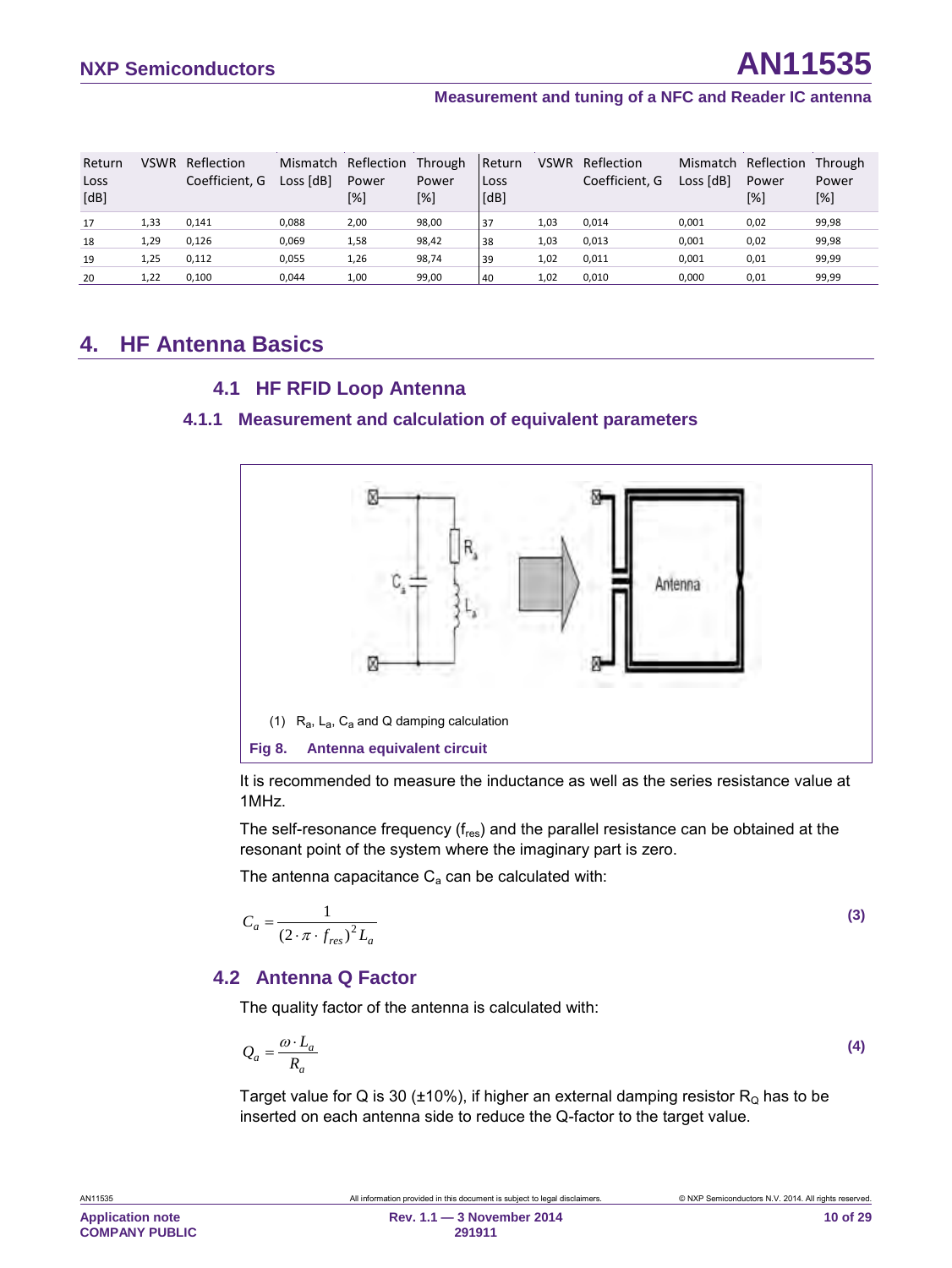| Return<br>Loss<br>[dB] | <b>VSWR</b> | Reflection<br>Coefficient. G | Loss [dB] | Mismatch Reflection<br>Power<br>[%] | Through<br>Power<br>[%] | Return<br>Loss<br>[dB] | <b>VSWR</b> | Reflection<br>Coefficient. G | Mismatch<br>Loss [dB] | Reflection<br>Power<br>[%] | Through<br>Power<br>[%] |
|------------------------|-------------|------------------------------|-----------|-------------------------------------|-------------------------|------------------------|-------------|------------------------------|-----------------------|----------------------------|-------------------------|
| 17                     | 1,33        | 0,141                        | 0.088     | 2,00                                | 98,00                   | 37                     | 1,03        | 0,014                        | 0,001                 | 0,02                       | 99,98                   |
| 18                     | 1,29        | 0,126                        | 0.069     | 1,58                                | 98,42                   | 38                     | 1,03        | 0,013                        | 0,001                 | 0,02                       | 99,98                   |
| 19                     | 1.25        | 0.112                        | 0.055     | 1,26                                | 98,74                   | 39                     | 1.02        | 0.011                        | 0.001                 | 0,01                       | 99,99                   |
| 20                     | 1,22        | 0,100                        | 0.044     | 1,00                                | 99,00                   | 40                     | 1,02        | 0.010                        | 0.000                 | 0,01                       | 99,99                   |

# <span id="page-9-3"></span>**4. HF Antenna Basics**

#### <span id="page-9-5"></span><span id="page-9-4"></span>**4.1 HF RFID Loop Antenna**

#### **4.1.1 Measurement and calculation of equivalent parameters**



<span id="page-9-2"></span>It is recommended to measure the inductance as well as the series resistance value at 1MHz.

The self-resonance frequency (f<sub>res</sub>) and the parallel resistance can be obtained at the resonant point of the system where the imaginary part is zero.

The antenna capacitance  $C_a$  can be calculated with:

<span id="page-9-1"></span>
$$
C_a = \frac{1}{\left(2 \cdot \pi \cdot f_{res}\right)^2 L_a}
$$
 (3)

#### <span id="page-9-6"></span>**4.2 Antenna Q Factor**

The quality factor of the antenna is calculated with:

<span id="page-9-0"></span>
$$
Q_a = \frac{\omega \cdot L_a}{R_a} \tag{4}
$$

Target value for Q is 30 ( $\pm$ 10%), if higher an external damping resistor R<sub>Q</sub> has to be inserted on each antenna side to reduce the Q-factor to the target value.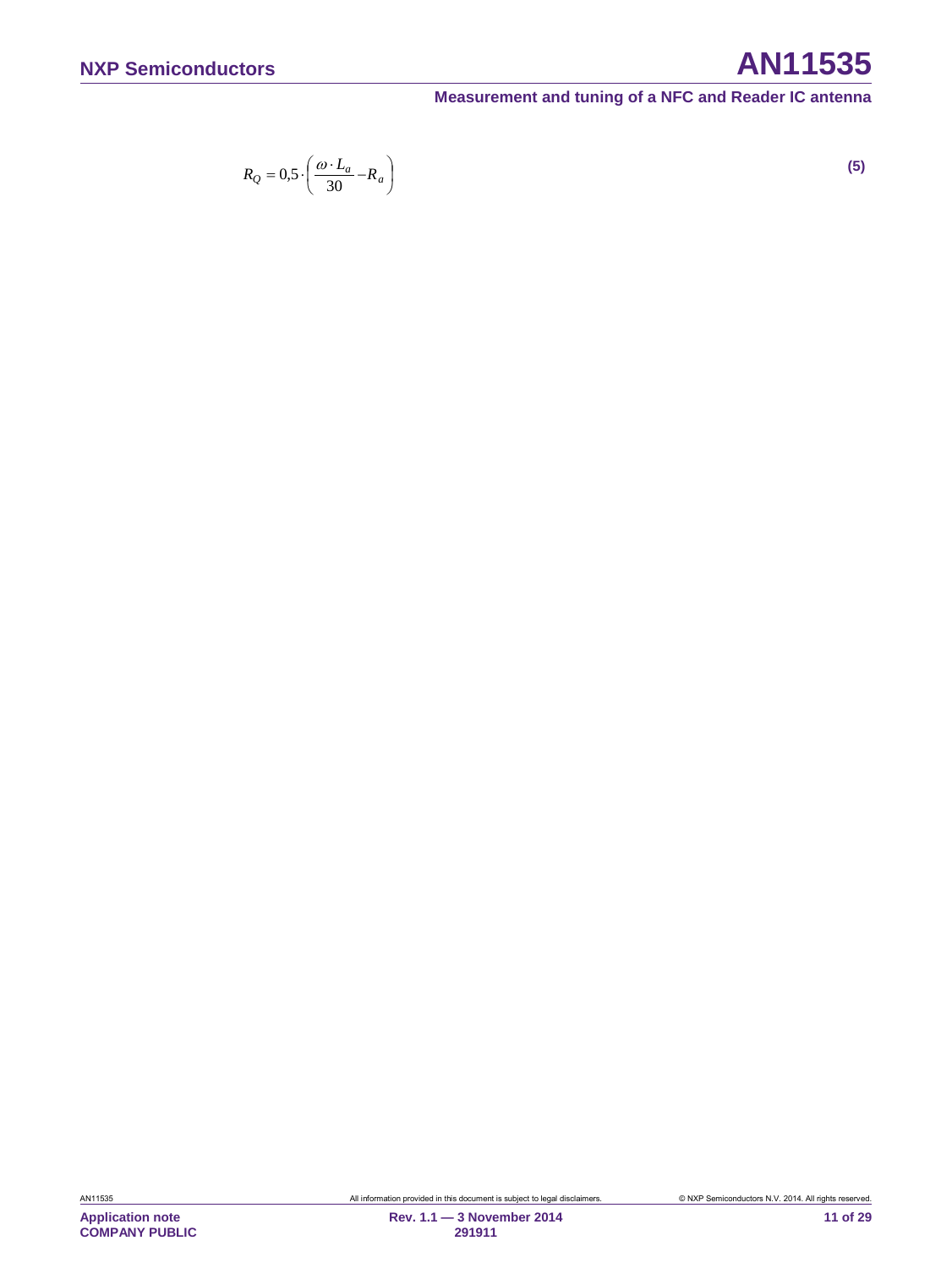# **NXP Semiconductors AN11535**

<span id="page-10-0"></span>**Measurement and tuning of a NFC and Reader IC antenna**

$$
R_Q = 0.5 \cdot \left(\frac{\omega \cdot L_a}{30} - R_a\right) \tag{5}
$$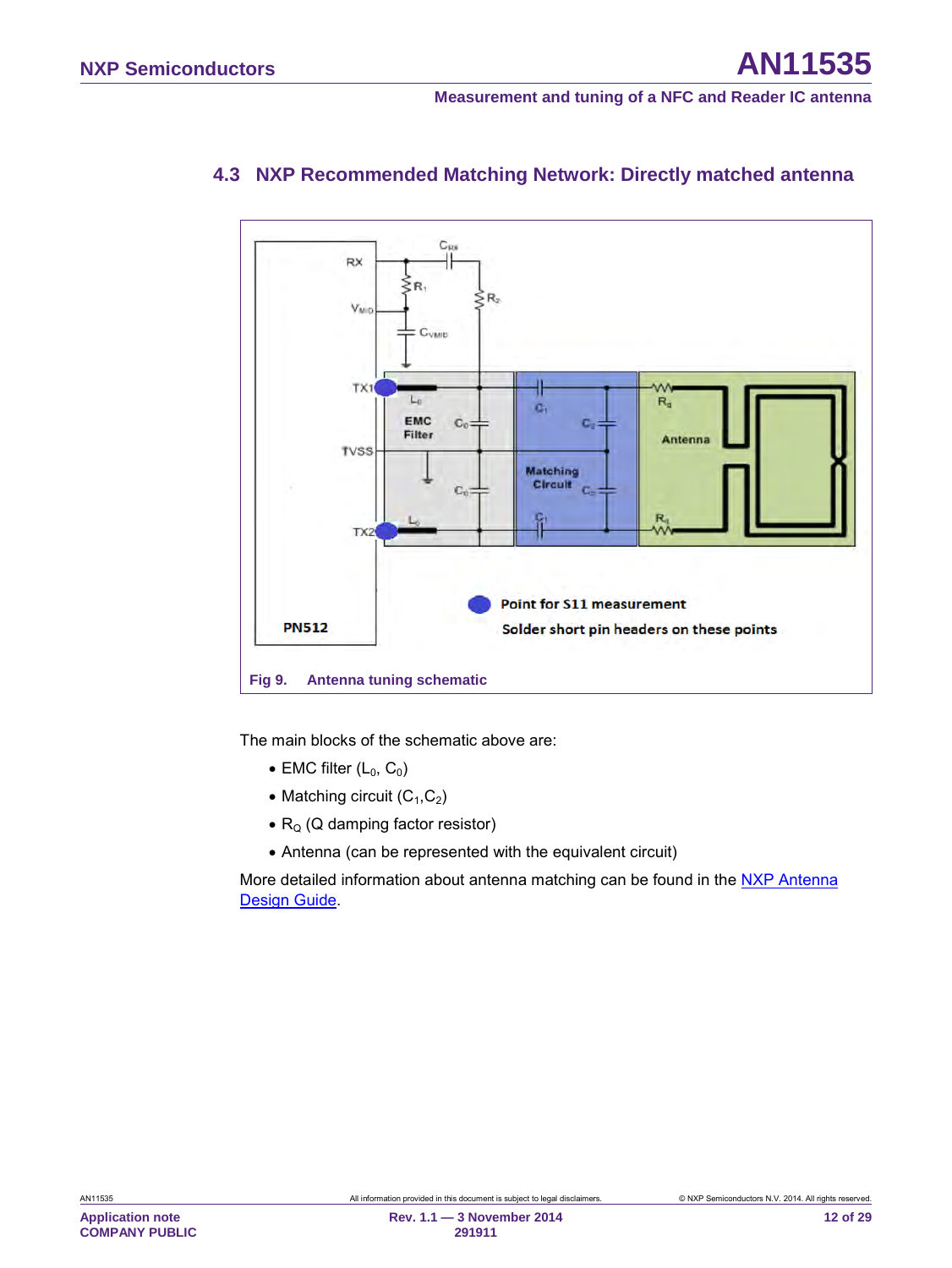

# <span id="page-11-2"></span>**4.3 NXP Recommended Matching Network: Directly matched antenna**

<span id="page-11-1"></span>The main blocks of the schematic above are:

- EMC filter  $(L_0, C_0)$
- Matching circuit  $(C_1, C_2)$
- $R_0$  (Q damping factor resistor)
- Antenna (can be represented with the equivalent circuit)

<span id="page-11-0"></span>More detailed information about antenna matching can be found in the NXP Antenna [Design Guide.](#page-24-0)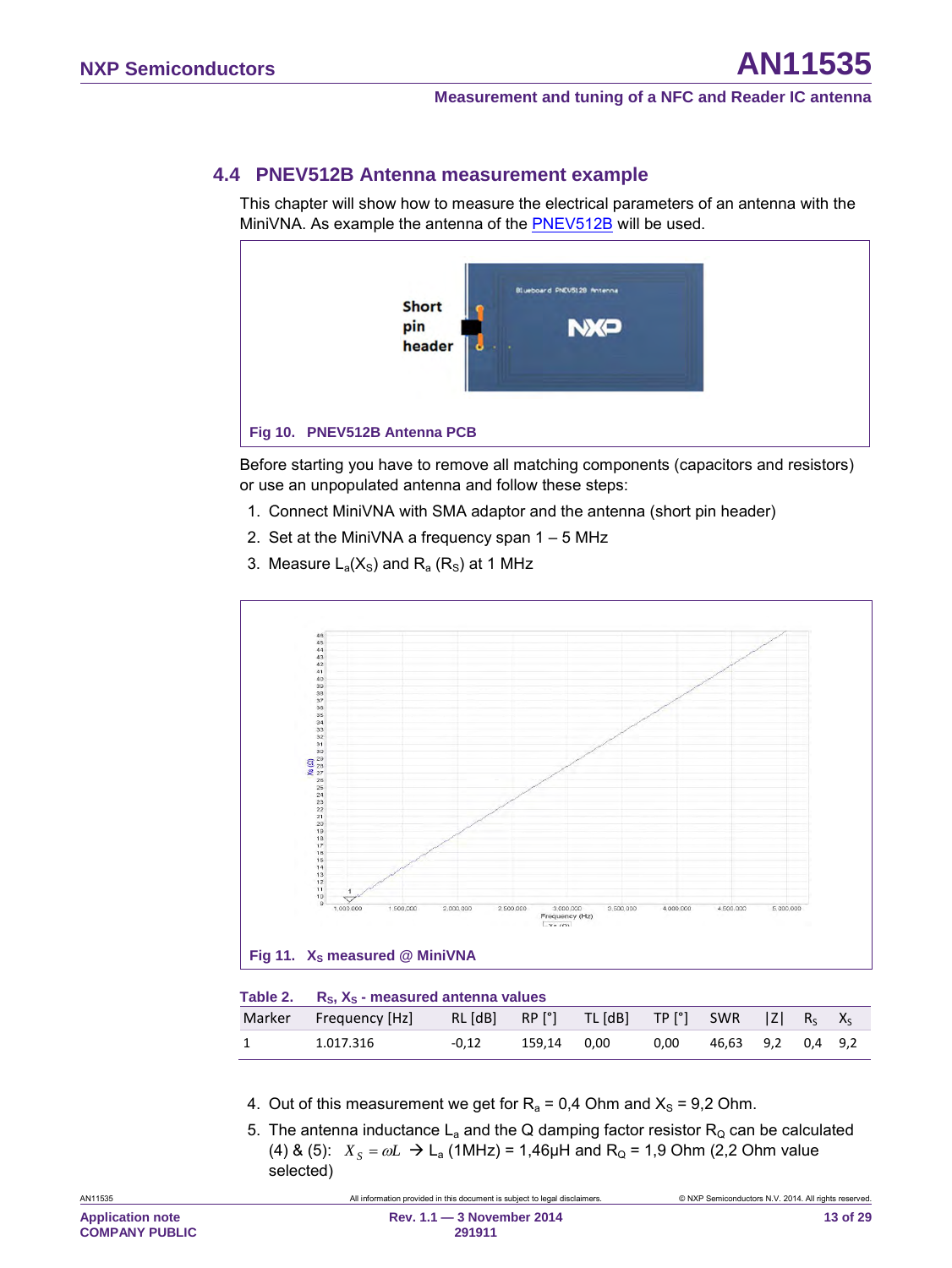### <span id="page-12-3"></span>**4.4 PNEV512B Antenna measurement example**

This chapter will show how to measure the electrical parameters of an antenna with the MiniVNA. As example the antenna of the [PNEV512B](#page-24-0) will be used.



<span id="page-12-0"></span>Before starting you have to remove all matching components (capacitors and resistors) or use an unpopulated antenna and follow these steps:

- 1. Connect MiniVNA with SMA adaptor and the antenna (short pin header)
- 2. Set at the MiniVNA a frequency span 1 5 MHz
- 3. Measure  $L_a(X_s)$  and  $R_a(R_s)$  at 1 MHz



<span id="page-12-2"></span><span id="page-12-1"></span>

| Table 2. $R_{\rm S}$ , $X_{\rm S}$ - measured antenna values                              |         |             |      |                   |  |  |
|-------------------------------------------------------------------------------------------|---------|-------------|------|-------------------|--|--|
| Marker Frequency [Hz] RL [dB] RP [°] TL [dB] TP [°] SWR  Z  R <sub>s</sub> X <sub>s</sub> |         |             |      |                   |  |  |
| 1.017.316                                                                                 | $-0.12$ | 159.14 0.00 | 0.00 | 46.63 9.2 0.4 9.2 |  |  |

- 4. Out of this measurement we get for  $R_a = 0.4$  Ohm and  $X_s = 9.2$  Ohm.
- 5. The antenna inductance  $L_a$  and the Q damping factor resistor  $R_Q$  can be calculated [\(4\)](#page-9-0) & [\(5\):](#page-10-0)  $X_s = \omega L \to L_a$  (1MHz) = 1,46µH and R<sub>Q</sub> = 1,9 Ohm (2,2 Ohm value selected)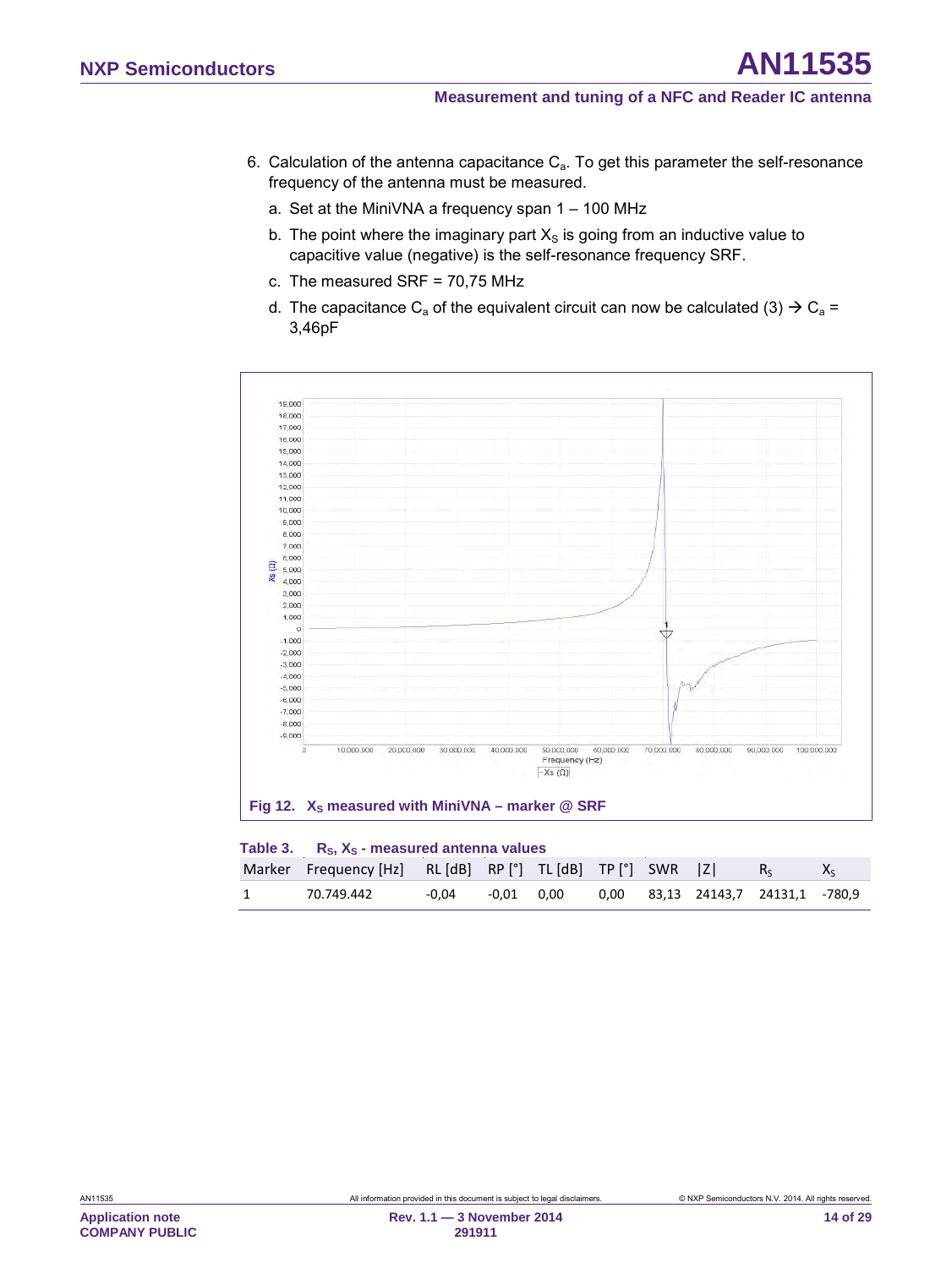- 6. Calculation of the antenna capacitance  $C_a$ . To get this parameter the self-resonance frequency of the antenna must be measured.
	- a. Set at the MiniVNA a frequency span 1 100 MHz
	- b. The point where the imaginary part  $X<sub>S</sub>$  is going from an inductive value to capacitive value (negative) is the self-resonance frequency SRF.
	- c. The measured SRF = 70,75 MHz
	- d. The capacitance C<sub>a</sub> of the equivalent circuit can now be calculated [\(3\)](#page-9-1)  $\rightarrow$  C<sub>a</sub> = 3,46pF



<span id="page-13-1"></span><span id="page-13-0"></span>

|                | Table 3. $R_s$ , $X_s$ - measured antenna values           |       |  |  |  |  |  |                                   |         |
|----------------|------------------------------------------------------------|-------|--|--|--|--|--|-----------------------------------|---------|
|                | Marker Frequency [Hz] RL [dB] RP [°] TL [dB] TP [°] SWR  Z |       |  |  |  |  |  |                                   | $X_{S}$ |
| $\overline{1}$ | 70.749.442                                                 | -0.04 |  |  |  |  |  | 0.00 83.13 24143.7 24131.1 -780.9 |         |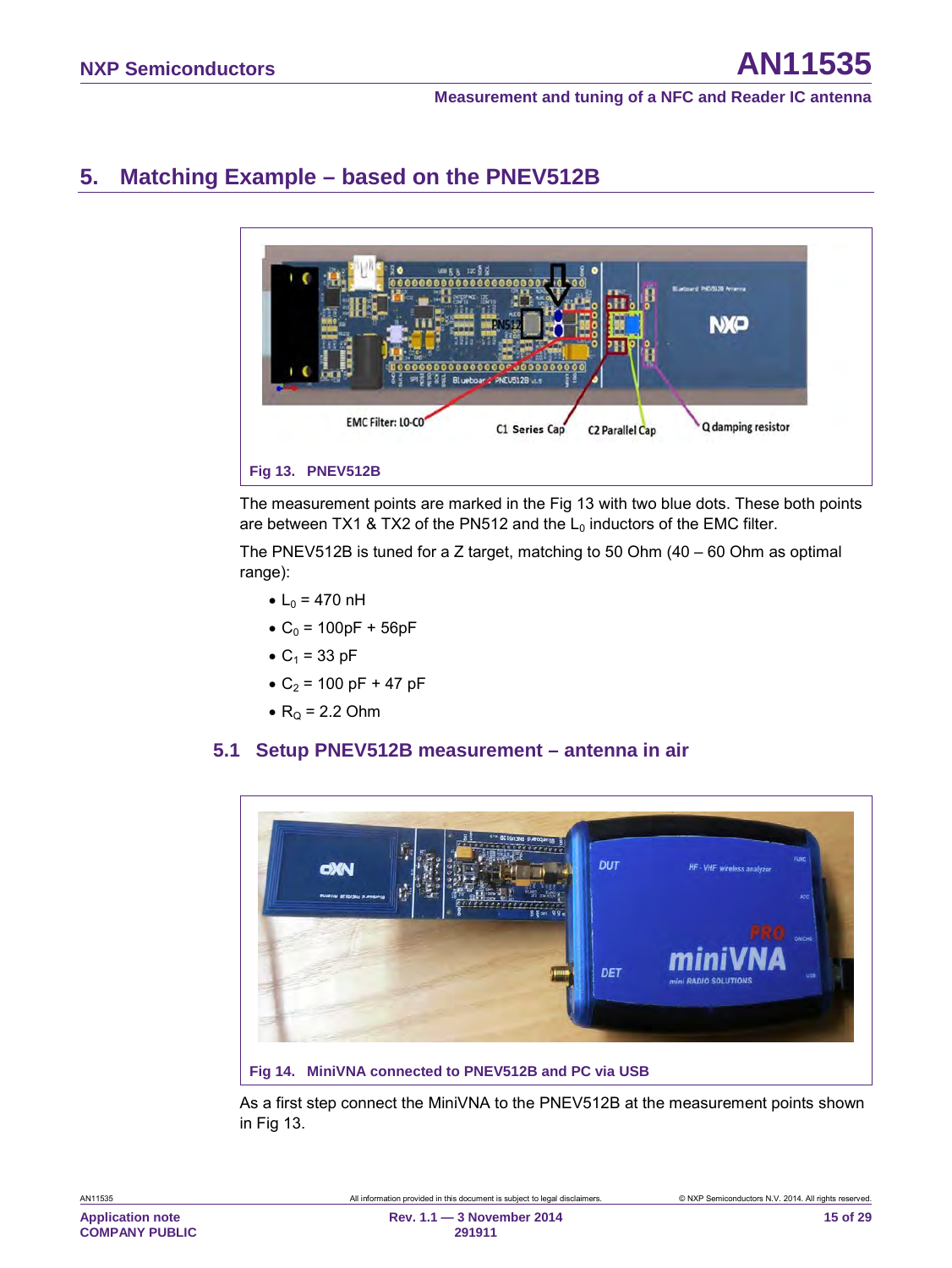# <span id="page-14-2"></span>**5. Matching Example – based on the PNEV512B**



<span id="page-14-0"></span>The measurement points are marked in the [Fig 13](#page-14-0) with two blue dots. These both points are between TX1 & TX2 of the PN512 and the  $L_0$  inductors of the EMC filter.

The PNEV512B is tuned for a Z target, matching to 50 Ohm  $(40 - 60)$  Ohm as optimal range):

- $L_0 = 470$  nH
- $C_0 = 100pF + 56pF$
- $C_1 = 33$  pF
- $C_2$  = 100 pF + 47 pF
- $R<sub>0</sub>$  = 2.2 Ohm

#### <span id="page-14-3"></span>**5.1 Setup PNEV512B measurement – antenna in air**



<span id="page-14-1"></span>As a first step connect the MiniVNA to the PNEV512B at the measurement points shown in [Fig 13.](#page-14-0)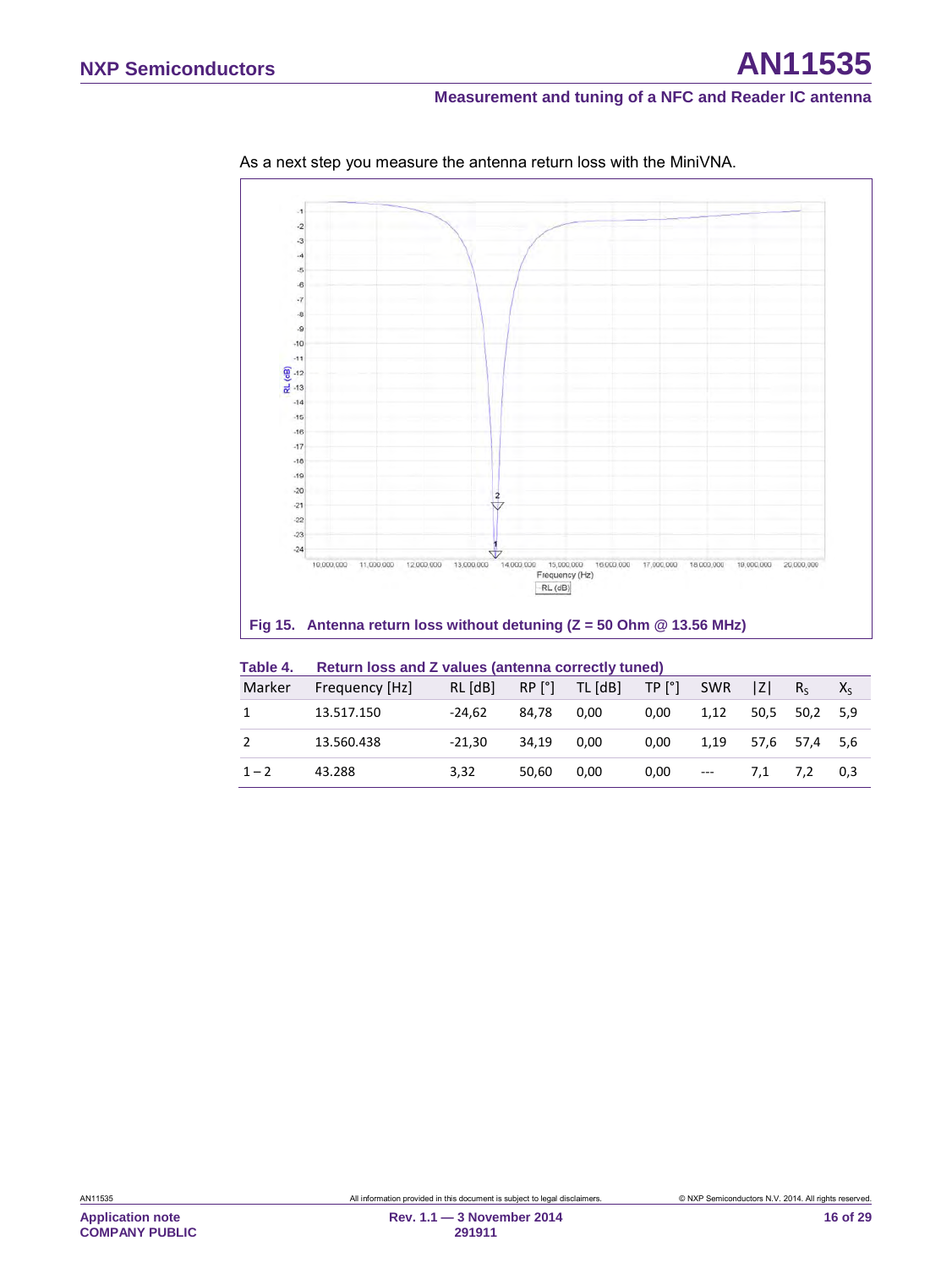

As a next step you measure the antenna return loss with the MiniVNA.

#### <span id="page-15-0"></span>**Fig 15. Antenna return loss without detuning (Z = 50 Ohm @ 13.56 MHz)**

<span id="page-15-1"></span>

| Table 4. | Return loss and Z values (antenna correctly tuned) |  |  |  |  |  |
|----------|----------------------------------------------------|--|--|--|--|--|
|----------|----------------------------------------------------|--|--|--|--|--|

| Marker  | Frequency [Hz] | RL [dB]  |       | $RP [^{\circ}]$ TL $[dB]$ | TP [°]   | SWR   | Z   | $R_{S}$       | $X_{S}$ |
|---------|----------------|----------|-------|---------------------------|----------|-------|-----|---------------|---------|
| 1       | 13.517.150     | $-24.62$ | 84.78 | 0.00                      | $0.00\,$ | 1.12  |     | 50,5 50,2 5,9 |         |
| 2       | 13.560.438     | $-21.30$ | 34.19 | 0.00                      | 0,00     | 1.19  |     | 57,6 57,4 5,6 |         |
| $1 - 2$ | 43.288         | 3,32     | 50.60 | 0.00                      | 0,00     | $---$ | 7.1 | 7.2           | 0,3     |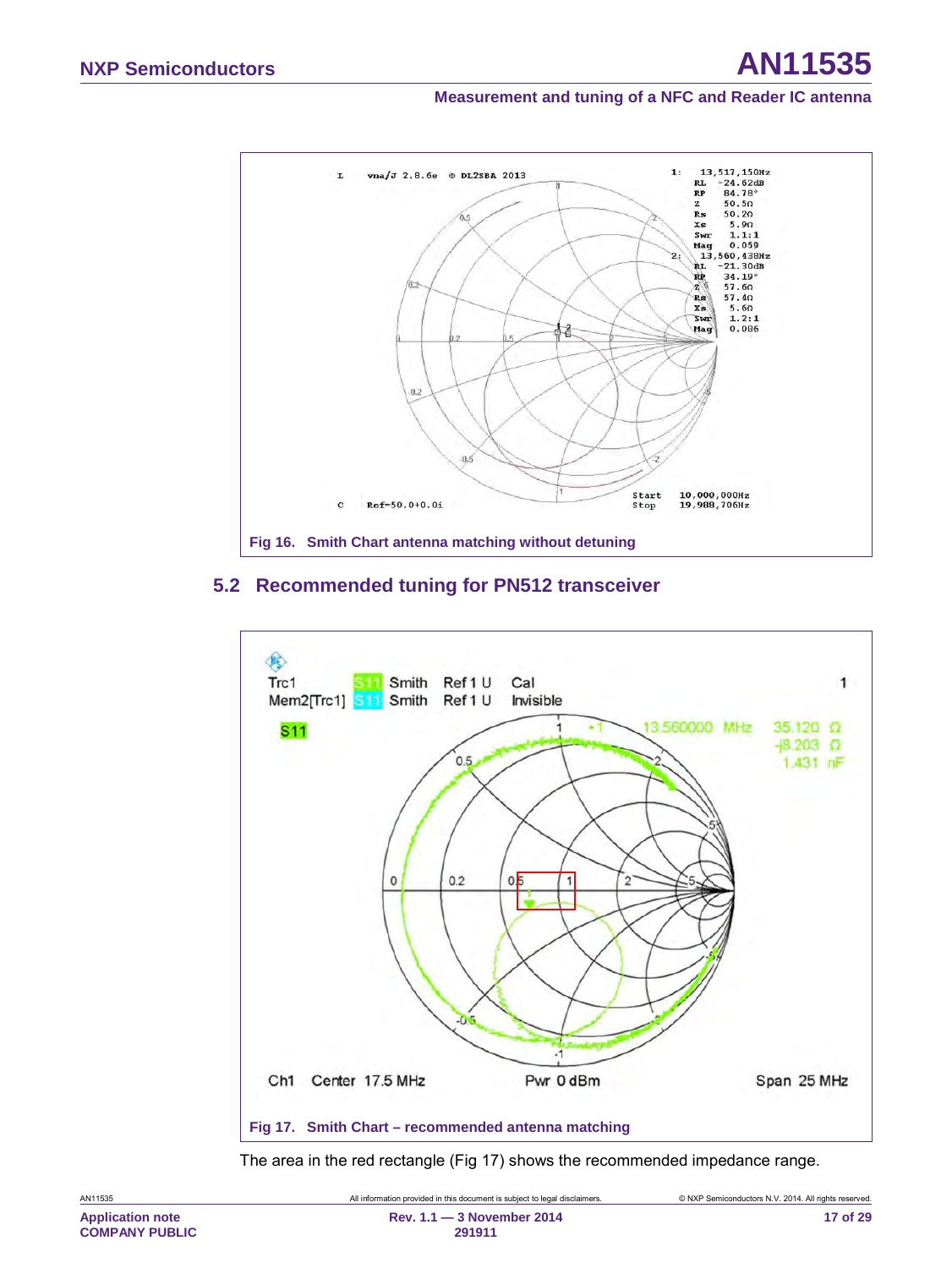

#### <span id="page-16-2"></span><span id="page-16-1"></span>**5.2 Recommended tuning for PN512 transceiver**



<span id="page-16-0"></span>The area in the red rectangle [\(Fig 17\)](#page-16-0) shows the recommended impedance range.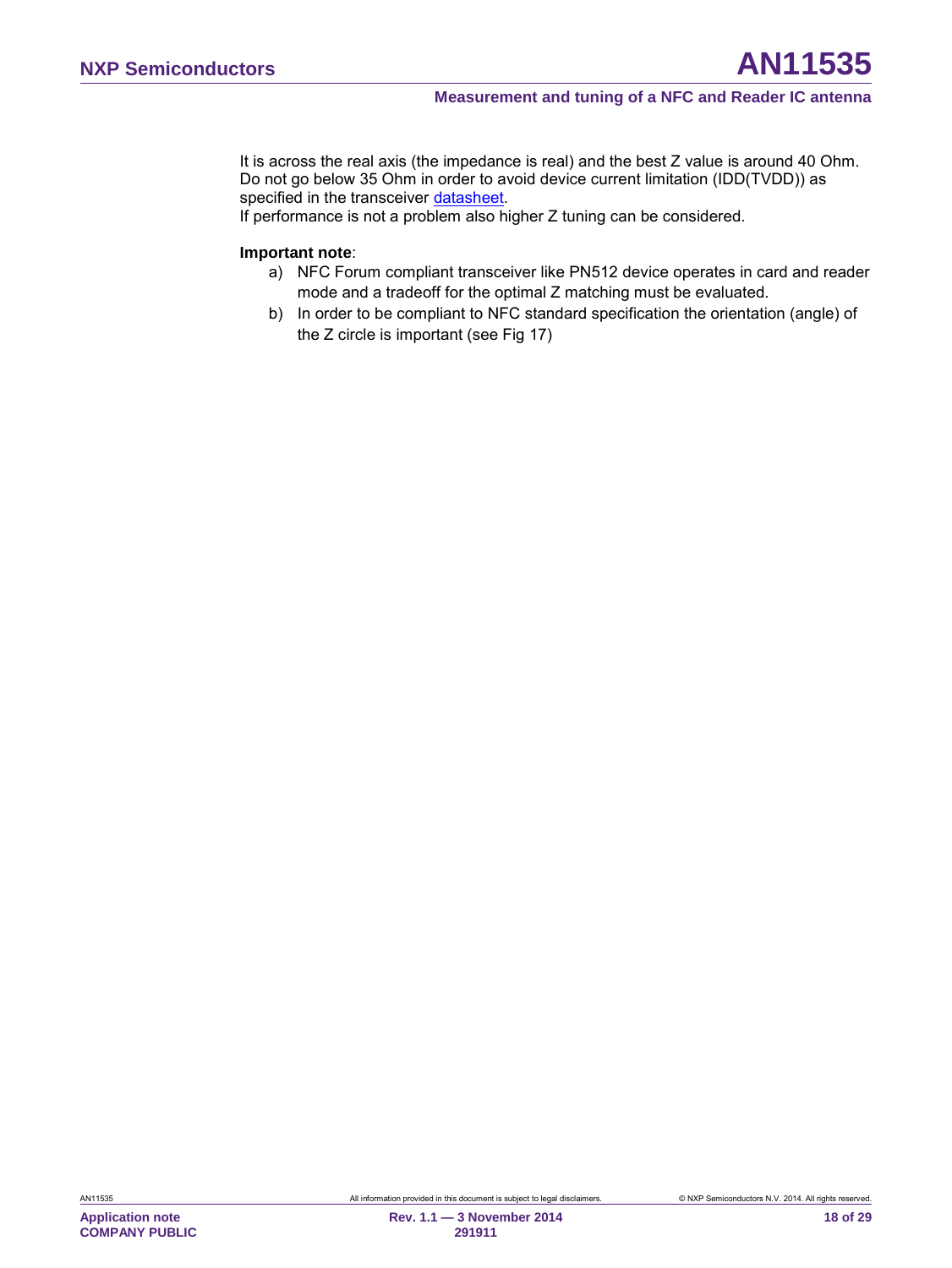It is across the real axis (the impedance is real) and the best Z value is around 40 Ohm. Do not go below 35 Ohm in order to avoid device current limitation (IDD(TVDD)) as specified in the transceiver [datasheet.](#page-24-1)

If performance is not a problem also higher Z tuning can be considered.

#### **Important note**:

- a) NFC Forum compliant transceiver like PN512 device operates in card and reader mode and a tradeoff for the optimal Z matching must be evaluated.
- b) In order to be compliant to NFC standard specification the orientation (angle) of the Z circle is important (see [Fig 17\)](#page-16-0)

**Application note COMPANY PUBLIC**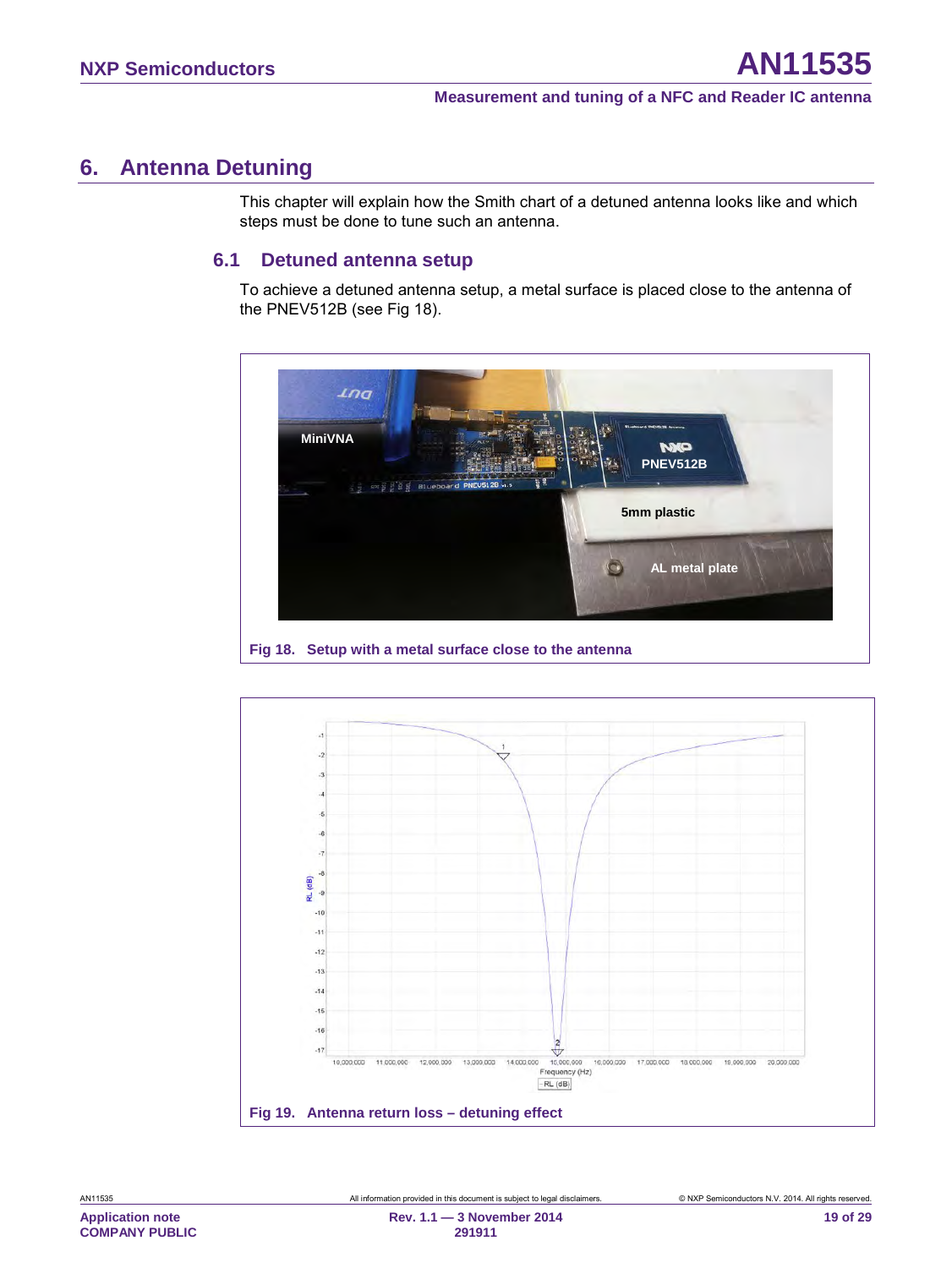# <span id="page-18-3"></span>**6. Antenna Detuning**

This chapter will explain how the Smith chart of a detuned antenna looks like and which steps must be done to tune such an antenna.

#### <span id="page-18-4"></span><span id="page-18-1"></span>**6.1 Detuned antenna setup**

To achieve a detuned antenna setup, a metal surface is placed close to the antenna of the PNEV512B (see [Fig 18\)](#page-18-0).



<span id="page-18-2"></span><span id="page-18-0"></span>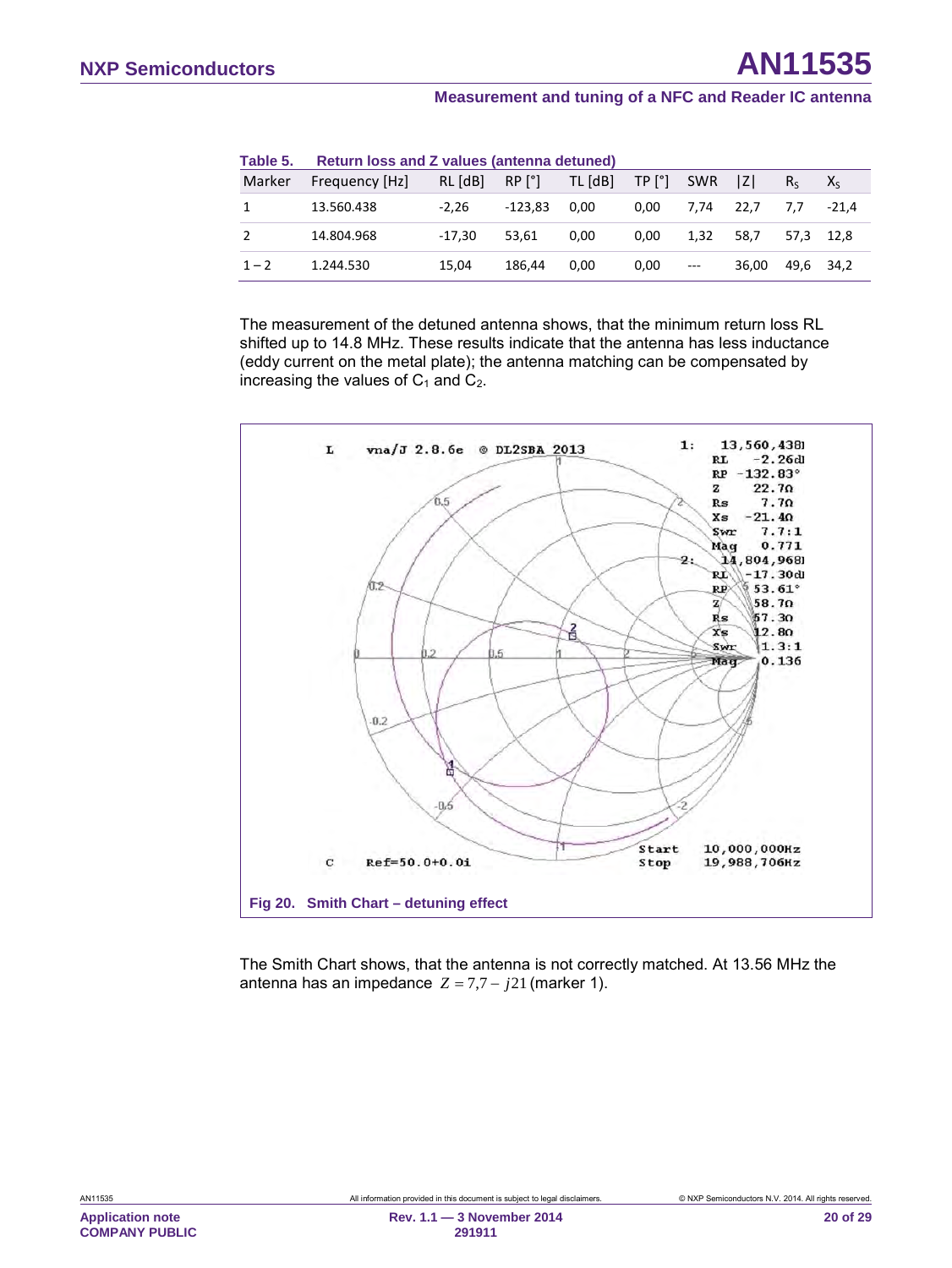<span id="page-19-1"></span>

| Table 5. | Return loss and Z values (antenna detuned) |          |                 |         |        |            |       |           |         |
|----------|--------------------------------------------|----------|-----------------|---------|--------|------------|-------|-----------|---------|
| Marker   | Frequency [Hz]                             | RL [dB]  | RP <sup>°</sup> | TL [dB] | TP [°] | <b>SWR</b> | IZI   | $R_{c}$   | $X_{S}$ |
|          | 13.560.438                                 | $-2.26$  | $-123.83$       | 0.00    | 0.00   | 7.74       | 22.7  | 7.7       | $-21.4$ |
|          | 14.804.968                                 | $-17.30$ | 53.61           | 0.00    | 0.00   | 1.32       | 58.7  | 57.3 12.8 |         |
| $1 - 2$  | 1.244.530                                  | 15.04    | 186.44          | 0.00    | 0,00   | $\cdots$   | 36.00 | 49,6 34,2 |         |

The measurement of the detuned antenna shows, that the minimum return loss RL shifted up to 14.8 MHz. These results indicate that the antenna has less inductance (eddy current on the metal plate); the antenna matching can be compensated by increasing the values of  $C_1$  and  $C_2$ .



<span id="page-19-0"></span>The Smith Chart shows, that the antenna is not correctly matched. At 13.56 MHz the antenna has an impedance  $Z = 7,7 - j21$  (marker 1).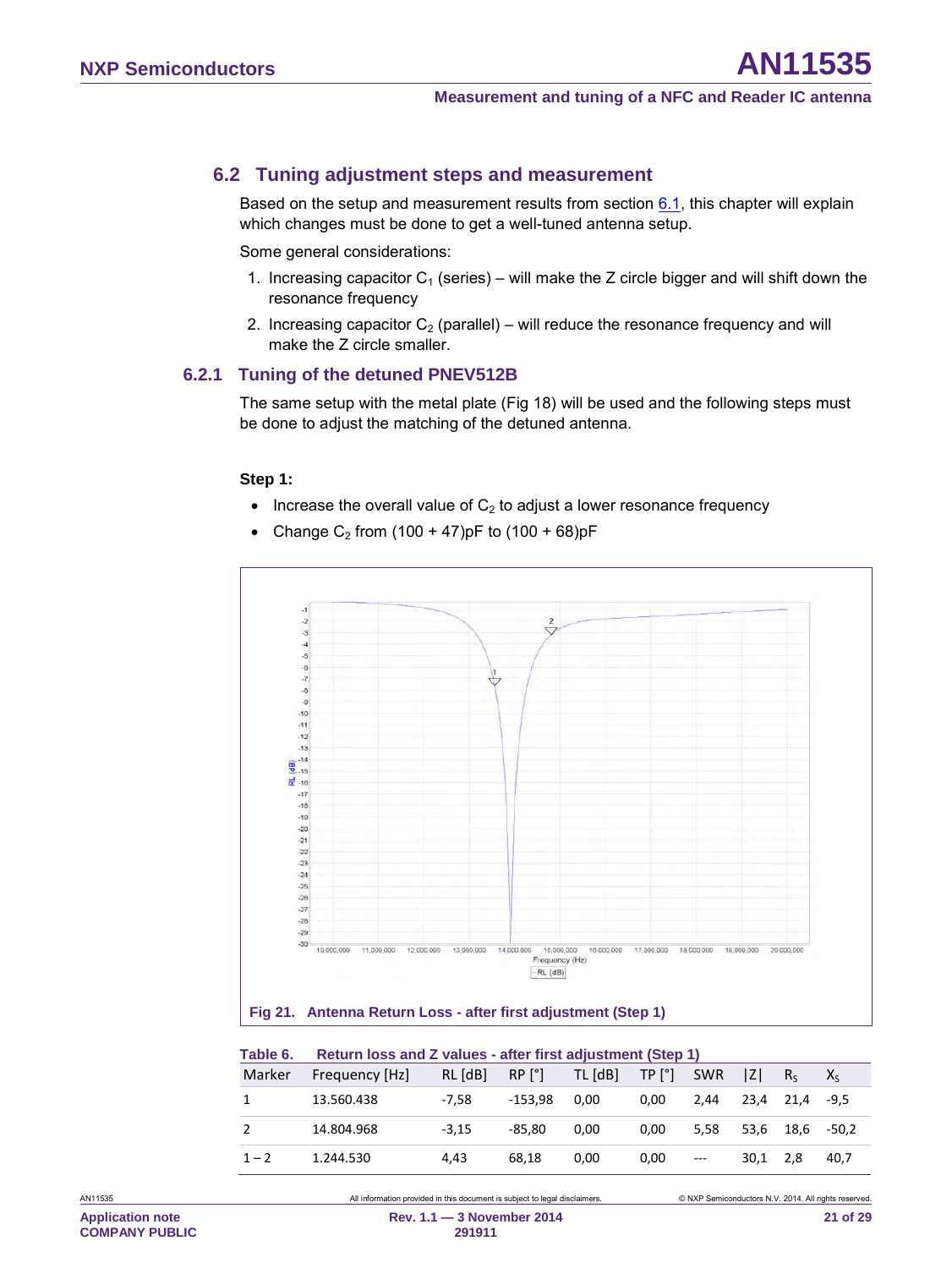### <span id="page-20-2"></span>**6.2 Tuning adjustment steps and measurement**

Based on the setup and measurement results from section  $6.1$ , this chapter will explain which changes must be done to get a well-tuned antenna setup.

Some general considerations:

- 1. Increasing capacitor  $C_1$  (series) will make the Z circle bigger and will shift down the resonance frequency
- <span id="page-20-3"></span>2. Increasing capacitor  $C_2$  (parallel) – will reduce the resonance frequency and will make the Z circle smaller.

#### **6.2.1 Tuning of the detuned PNEV512B**

The same setup with the metal plate [\(Fig 18\)](#page-18-0) will be used and the following steps must be done to adjust the matching of the detuned antenna.

#### **Step 1:**

- Increase the overall value of  $C_2$  to adjust a lower resonance frequency
- Change C<sub>2</sub> from  $(100 + 47)$ pF to  $(100 + 68)$ pF



<span id="page-20-1"></span><span id="page-20-0"></span>

| Table 6. |                | Return loss and Z values - after first adjustment (Step 1) |            |         |        |            |      |           |         |  |
|----------|----------------|------------------------------------------------------------|------------|---------|--------|------------|------|-----------|---------|--|
| Marker   | Frequency [Hz] | RL [dB]                                                    | $RP$ $[°]$ | TL [dB] | TP [°] | <b>SWR</b> | IzI  | $R_{S}$   | $X_{S}$ |  |
|          | 13.560.438     | -7.58                                                      | $-153.98$  | 0.00    | 0.00   | 2.44       |      | 23.4 21.4 | -9.5    |  |
|          | 14.804.968     | $-3.15$                                                    | $-85.80$   | 0.00    | 0.00   | 5.58       | 53.6 | 18.6      | -50.2   |  |
| $1 - 2$  | 1.244.530      | 4.43                                                       | 68.18      | 0.00    | 0.00   | $\cdots$   | 30.1 | 2.8       | 40.7    |  |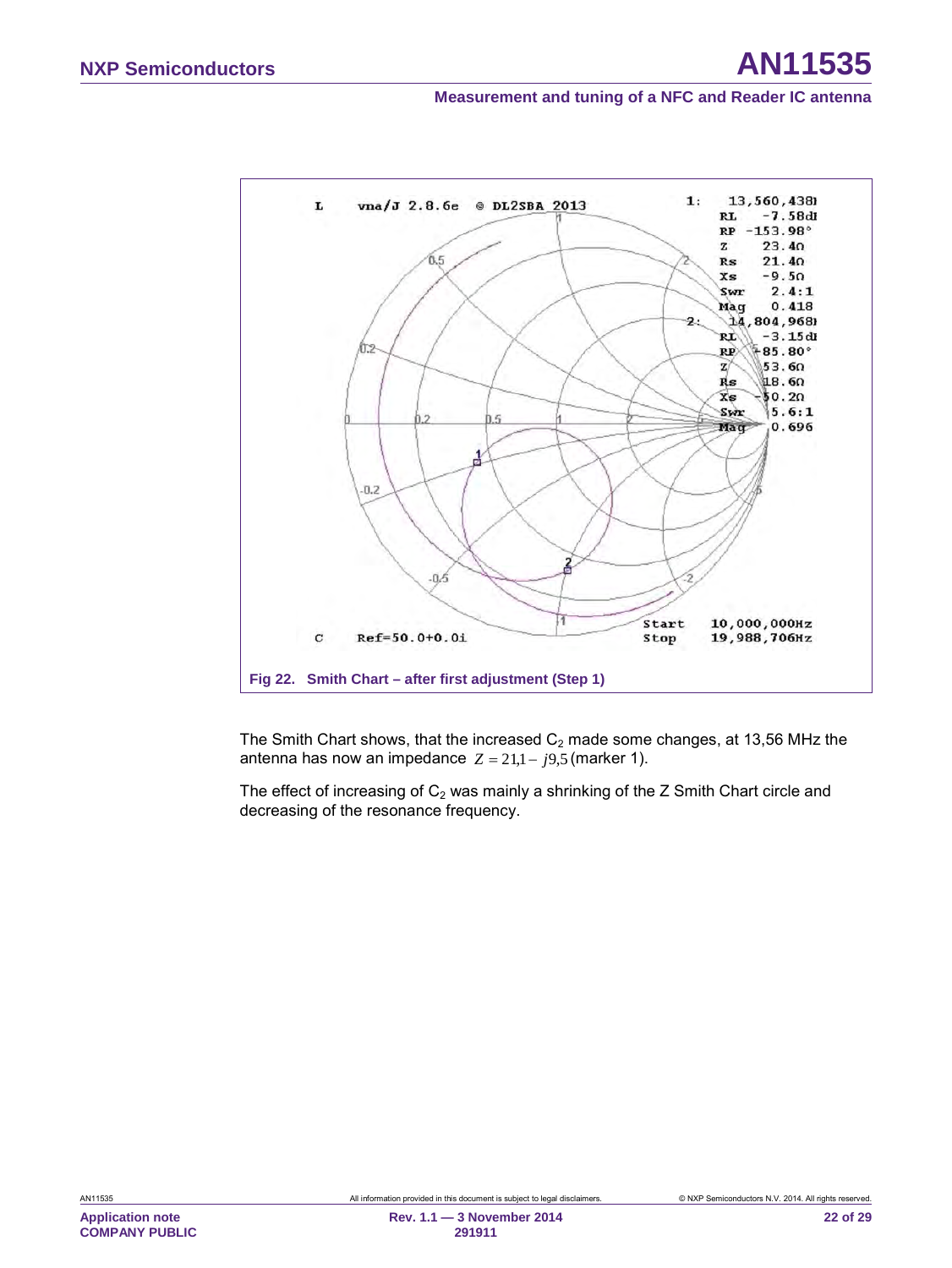

<span id="page-21-0"></span>The Smith Chart shows, that the increased  $C_2$  made some changes, at 13,56 MHz the antenna has now an impedance  $Z = 21,1 - j9,5$  (marker 1).

The effect of increasing of  $C_2$  was mainly a shrinking of the Z Smith Chart circle and decreasing of the resonance frequency.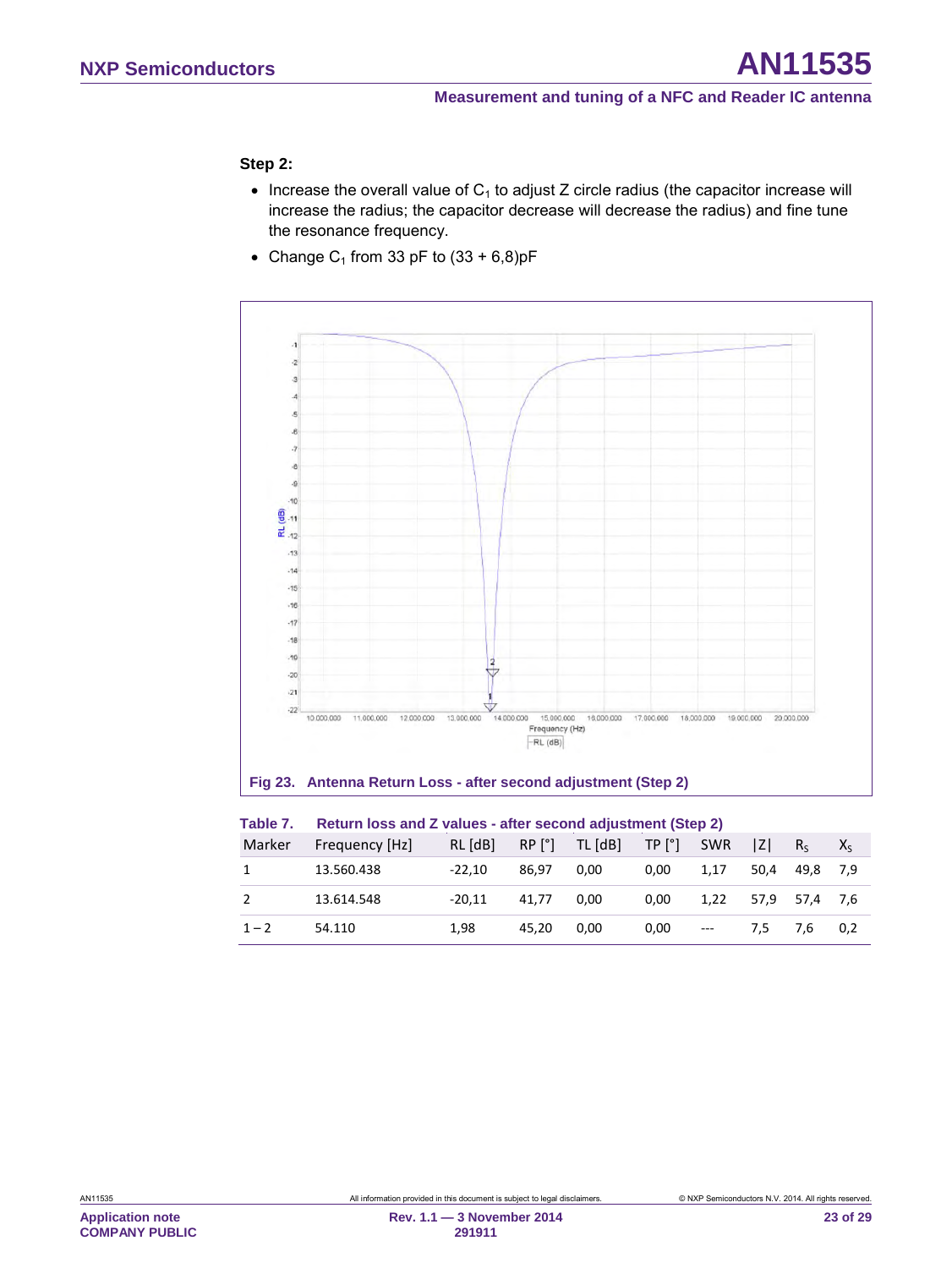#### **Step 2:**

- Increase the overall value of  $C_1$  to adjust Z circle radius (the capacitor increase will increase the radius; the capacitor decrease will decrease the radius) and fine tune the resonance frequency.
- Change  $C_1$  from 33 pF to  $(33 + 6,8)$ pF



#### <span id="page-22-1"></span><span id="page-22-0"></span>**Fig 23. Antenna Return Loss - after second adjustment (Step 2)**

| Table 7. | Return loss and Z values - after second adjustment (Step 2) |          |       |                             |                   |       |      |           |         |
|----------|-------------------------------------------------------------|----------|-------|-----------------------------|-------------------|-------|------|-----------|---------|
| Marker   | Frequency [Hz]                                              | RL [dB]  |       | $RP [°]$ TL $[dB]$ TP $[°]$ |                   | SWR   | IZI. | $R_{S}$   | $X_{S}$ |
|          | 13.560.438                                                  | $-22.10$ | 86.97 | 0.00                        | 0.00              | 1.17  | 50.4 | 49.8      | 7.9     |
|          | 13.614.548                                                  | $-20.11$ | 41.77 | 0.00                        | 0.00 <sub>1</sub> | 1.22  |      | 57.9 57.4 | 7.6     |
| $1 - 2$  | 54.110                                                      | 1.98     | 45.20 | 0.00                        | 0.00              | $---$ | 7.5  | 7.6       | 0.2     |

**Application note COMPANY PUBLIC**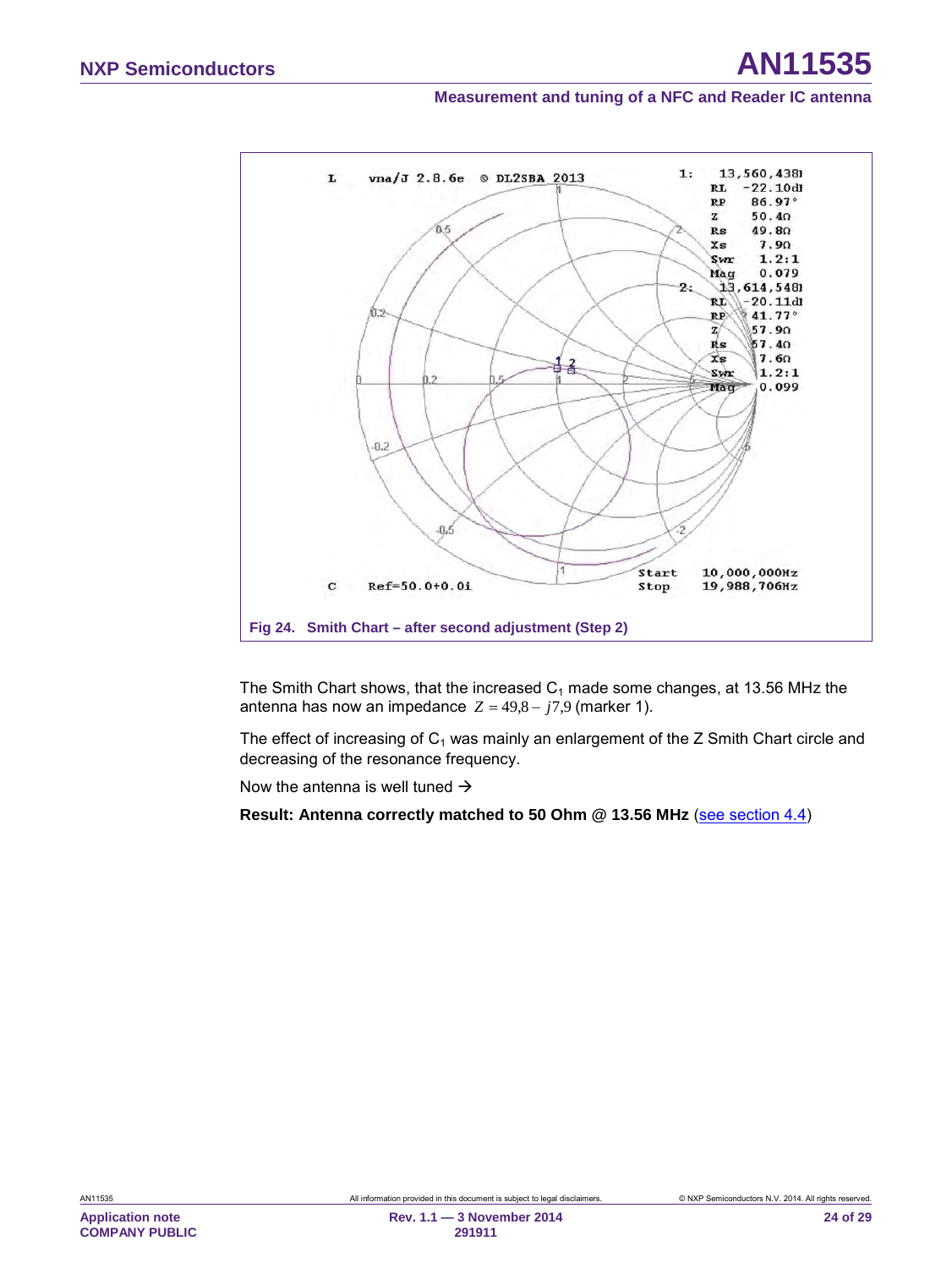

<span id="page-23-0"></span>The Smith Chart shows, that the increased  $C_1$  made some changes, at 13.56 MHz the antenna has now an impedance  $Z = 49.8 - j7.9$  (marker 1).

The effect of increasing of  $C_1$  was mainly an enlargement of the Z Smith Chart circle and decreasing of the resonance frequency.

Now the antenna is well tuned  $\rightarrow$ 

**Result: Antenna correctly matched to 50 Ohm @ 13.56 MHz** [\(see section](#page-11-0) 4.4)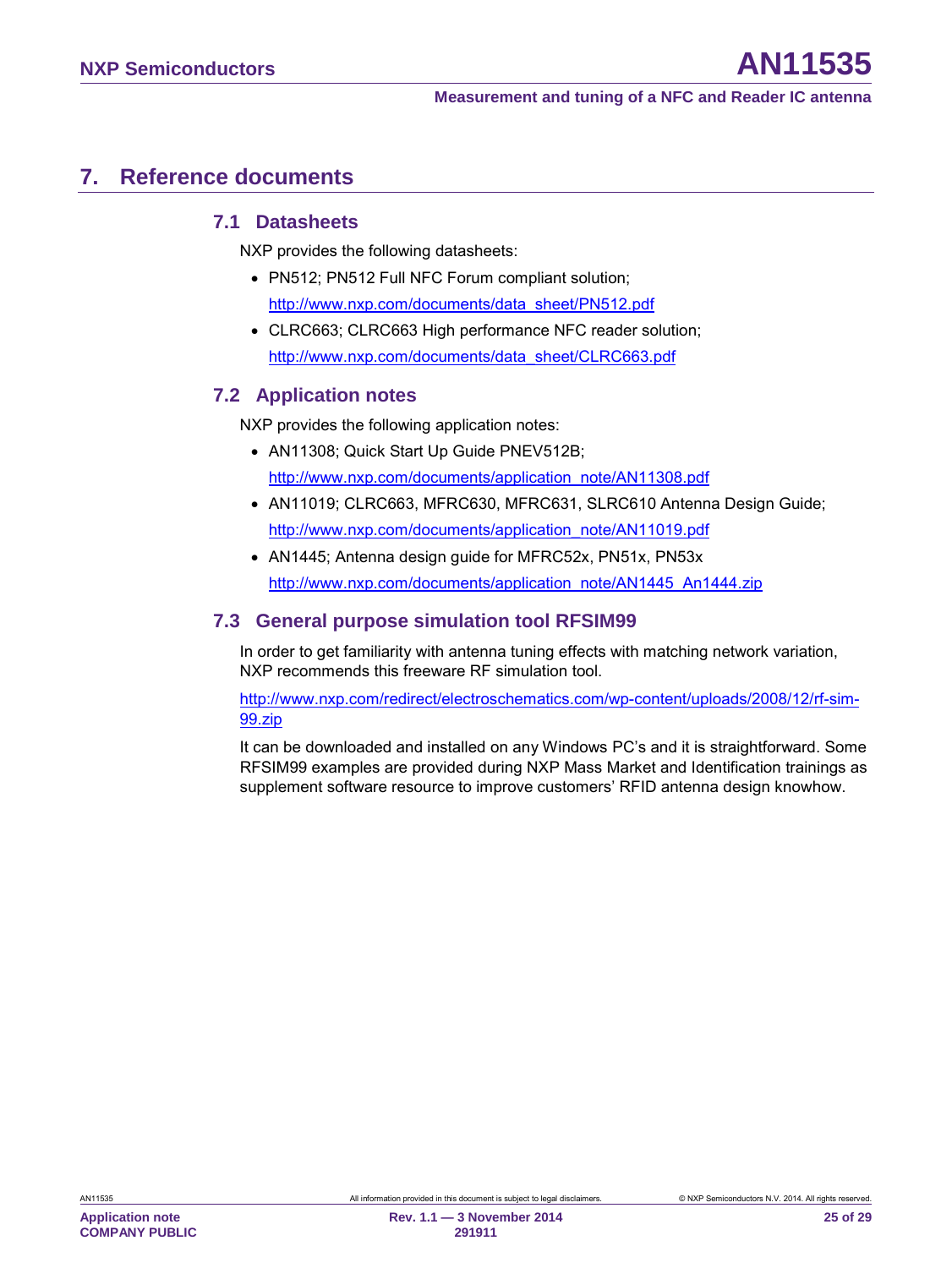# <span id="page-24-2"></span>**7. Reference documents**

#### <span id="page-24-1"></span>**7.1 Datasheets**

NXP provides the following datasheets:

- PN512; PN512 Full NFC Forum compliant solution; [http://www.nxp.com/documents/data\\_sheet/PN512.pdf](http://www.nxp.com/documents/data_sheet/PN512.pdf)
- CLRC663; CLRC663 High performance NFC reader solution; [http://www.nxp.com/documents/data\\_sheet/CLRC663.pdf](http://www.nxp.com/documents/data_sheet/CLRC663.pdf)

#### <span id="page-24-0"></span>**7.2 Application notes**

NXP provides the following application notes:

- AN11308; Quick Start Up Guide PNEV512B; [http://www.nxp.com/documents/application\\_note/AN11308.pdf](http://www.nxp.com/documents/application_note/AN11308.pdf)
- AN11019; CLRC663, MFRC630, MFRC631, SLRC610 Antenna Design Guide; [http://www.nxp.com/documents/application\\_note/AN11019.pdf](http://www.nxp.com/documents/application_note/AN11019.pdf)
- AN1445; Antenna design guide for MFRC52x, PN51x, PN53x [http://www.nxp.com/documents/application\\_note/AN1445\\_An1444.zip](http://www.nxp.com/documents/application_note/AN1445_An1444.zip)

#### <span id="page-24-3"></span>**7.3 General purpose simulation tool RFSIM99**

In order to get familiarity with antenna tuning effects with matching network variation, NXP recommends this freeware RF simulation tool.

[http://www.nxp.com/redirect/electroschematics.com/wp-content/uploads/2008/12/rf-sim-](http://www.nxp.com/redirect/electroschematics.com/wp-content/uploads/2008/12/rf-sim-99.zip)[99.zip](http://www.nxp.com/redirect/electroschematics.com/wp-content/uploads/2008/12/rf-sim-99.zip)

It can be downloaded and installed on any Windows PC's and it is straightforward. Some RFSIM99 examples are provided during NXP Mass Market and Identification trainings as supplement software resource to improve customers' RFID antenna design knowhow.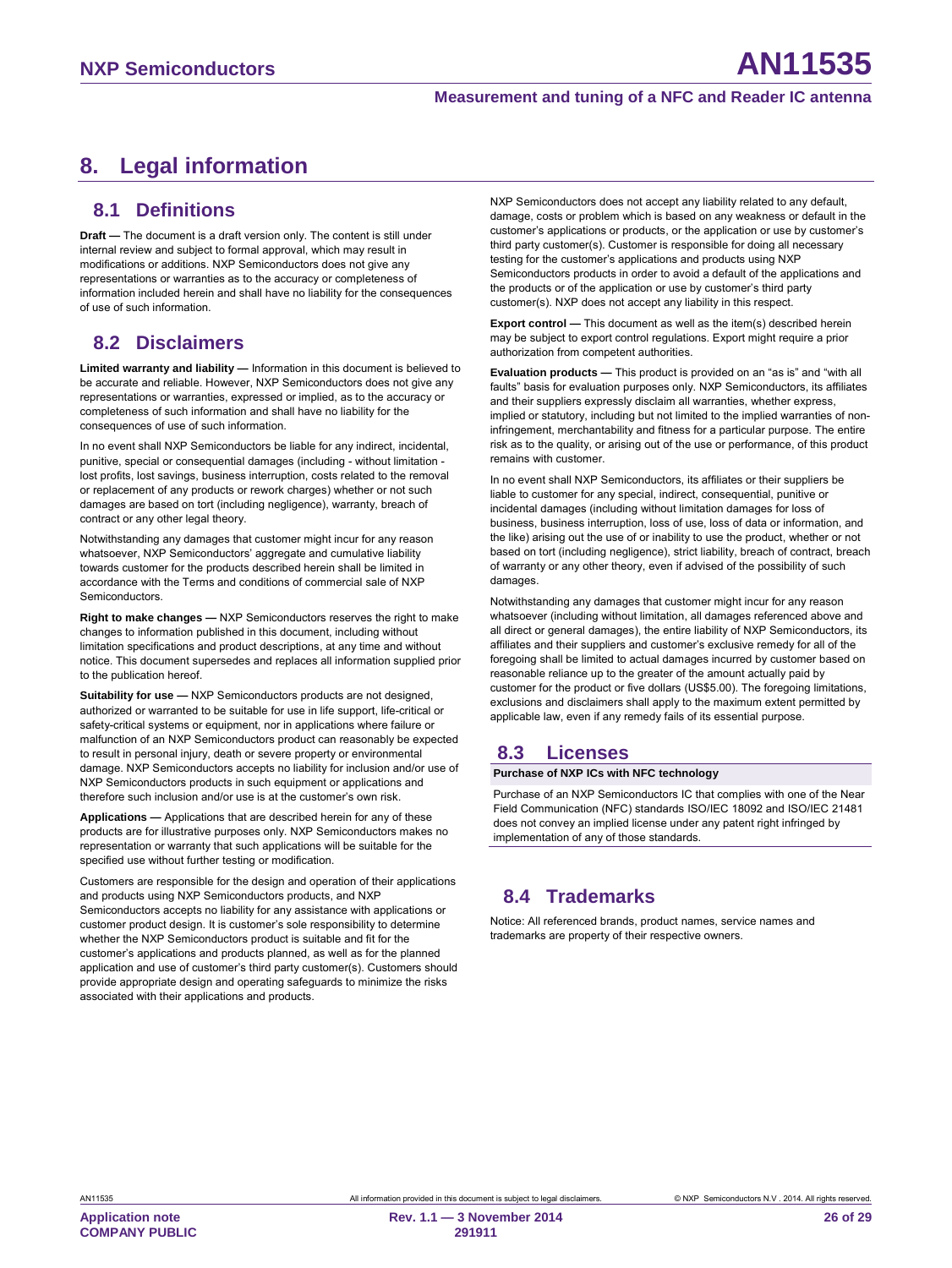# <span id="page-25-0"></span>**8. Legal information**

#### <span id="page-25-1"></span>**8.1 Definitions**

**Draft —** The document is a draft version only. The content is still under internal review and subject to formal approval, which may result in modifications or additions. NXP Semiconductors does not give any representations or warranties as to the accuracy or completeness of information included herein and shall have no liability for the consequences of use of such information.

### <span id="page-25-2"></span>**8.2 Disclaimers**

**Limited warranty and liability —** Information in this document is believed to be accurate and reliable. However, NXP Semiconductors does not give any representations or warranties, expressed or implied, as to the accuracy or completeness of such information and shall have no liability for the consequences of use of such information.

In no event shall NXP Semiconductors be liable for any indirect, incidental, punitive, special or consequential damages (including - without limitation lost profits, lost savings, business interruption, costs related to the removal or replacement of any products or rework charges) whether or not such damages are based on tort (including negligence), warranty, breach of contract or any other legal theory.

Notwithstanding any damages that customer might incur for any reason whatsoever, NXP Semiconductors' aggregate and cumulative liability towards customer for the products described herein shall be limited in accordance with the Terms and conditions of commercial sale of NXP Semiconductors.

**Right to make changes —** NXP Semiconductors reserves the right to make changes to information published in this document, including without limitation specifications and product descriptions, at any time and without notice. This document supersedes and replaces all information supplied prior to the publication hereof.

**Suitability for use —** NXP Semiconductors products are not designed, authorized or warranted to be suitable for use in life support, life-critical or safety-critical systems or equipment, nor in applications where failure or malfunction of an NXP Semiconductors product can reasonably be expected to result in personal injury, death or severe property or environmental damage. NXP Semiconductors accepts no liability for inclusion and/or use of NXP Semiconductors products in such equipment or applications and therefore such inclusion and/or use is at the customer's own risk.

**Applications —** Applications that are described herein for any of these products are for illustrative purposes only. NXP Semiconductors makes no representation or warranty that such applications will be suitable for the specified use without further testing or modification.

Customers are responsible for the design and operation of their applications and products using NXP Semiconductors products, and NXP Semiconductors accepts no liability for any assistance with applications or customer product design. It is customer's sole responsibility to determine whether the NXP Semiconductors product is suitable and fit for the customer's applications and products planned, as well as for the planned application and use of customer's third party customer(s). Customers should provide appropriate design and operating safeguards to minimize the risks associated with their applications and products.

NXP Semiconductors does not accept any liability related to any default, damage, costs or problem which is based on any weakness or default in the customer's applications or products, or the application or use by customer's third party customer(s). Customer is responsible for doing all necessary testing for the customer's applications and products using NXP Semiconductors products in order to avoid a default of the applications and the products or of the application or use by customer's third party customer(s). NXP does not accept any liability in this respect.

**Export control —** This document as well as the item(s) described herein may be subject to export control regulations. Export might require a prior authorization from competent authorities.

**Evaluation products —** This product is provided on an "as is" and "with all faults" basis for evaluation purposes only. NXP Semiconductors, its affiliates and their suppliers expressly disclaim all warranties, whether express, implied or statutory, including but not limited to the implied warranties of noninfringement, merchantability and fitness for a particular purpose. The entire risk as to the quality, or arising out of the use or performance, of this product remains with customer.

In no event shall NXP Semiconductors, its affiliates or their suppliers be liable to customer for any special, indirect, consequential, punitive or incidental damages (including without limitation damages for loss of business, business interruption, loss of use, loss of data or information, and the like) arising out the use of or inability to use the product, whether or not based on tort (including negligence), strict liability, breach of contract, breach of warranty or any other theory, even if advised of the possibility of such damages

Notwithstanding any damages that customer might incur for any reason whatsoever (including without limitation, all damages referenced above and all direct or general damages), the entire liability of NXP Semiconductors, its affiliates and their suppliers and customer's exclusive remedy for all of the foregoing shall be limited to actual damages incurred by customer based on reasonable reliance up to the greater of the amount actually paid by customer for the product or five dollars (US\$5.00). The foregoing limitations, exclusions and disclaimers shall apply to the maximum extent permitted by applicable law, even if any remedy fails of its essential purpose.

#### <span id="page-25-3"></span>**8.3 Licenses**

#### **Purchase of NXP ICs with NFC technology**

Purchase of an NXP Semiconductors IC that complies with one of the Near Field Communication (NFC) standards ISO/IEC 18092 and ISO/IEC 21481 does not convey an implied license under any patent right infringed by implementation of any of those standards.

# <span id="page-25-4"></span>**8.4 Trademarks**

Notice: All referenced brands, product names, service names and trademarks are property of their respective owners.

**Application note COMPANY PUBLIC**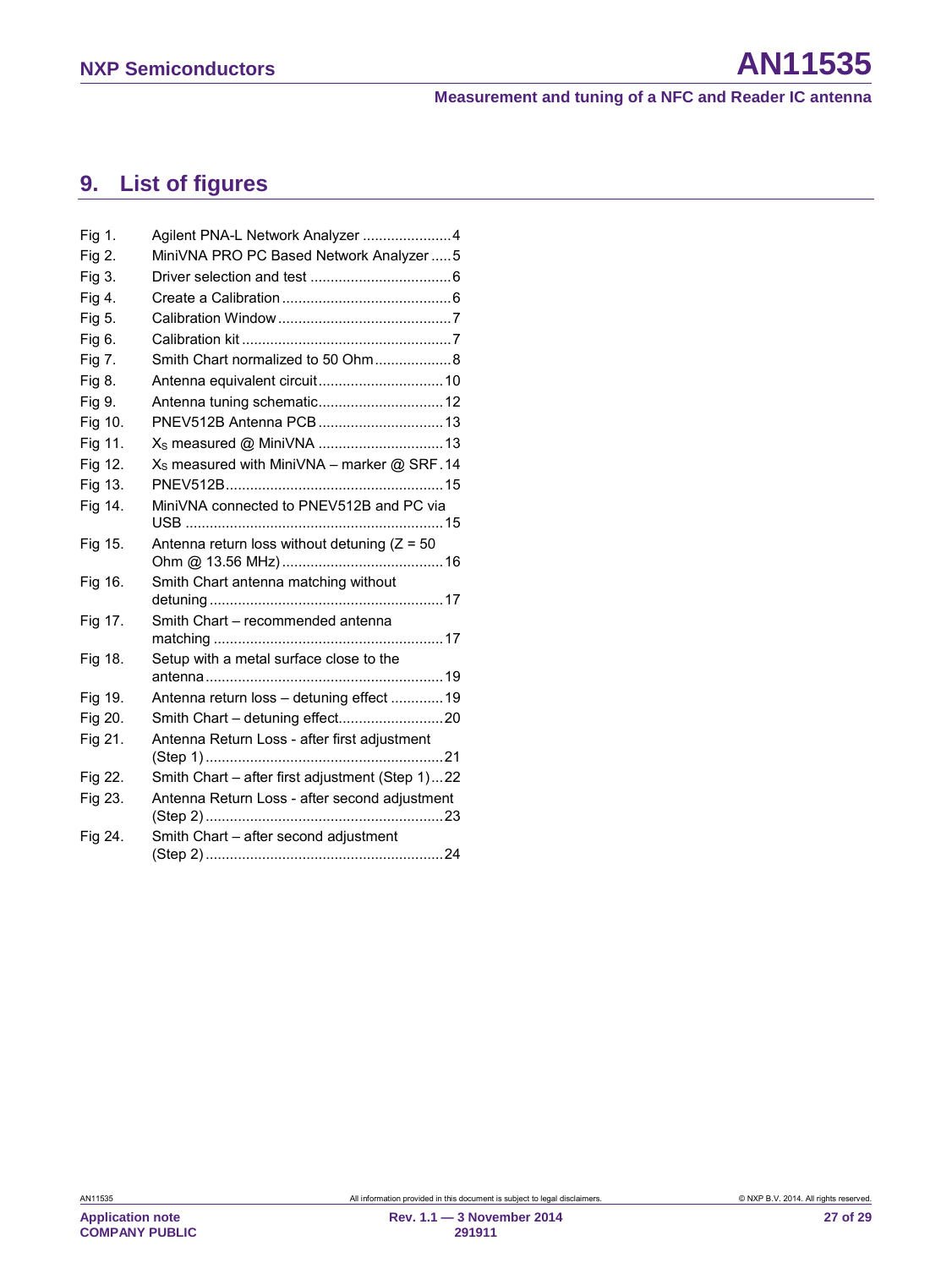# <span id="page-26-0"></span>**9. List of figures**

| Fig 1.  | Agilent PNA-L Network Analyzer 4                       |
|---------|--------------------------------------------------------|
| Fig 2.  | MiniVNA PRO PC Based Network Analyzer  5               |
| Fig 3.  |                                                        |
| Fig 4.  |                                                        |
| Fig 5.  |                                                        |
| Fig 6.  |                                                        |
| Fig 7.  | Smith Chart normalized to 50 Ohm8                      |
| Fig 8.  |                                                        |
| Fig 9.  |                                                        |
| Fig 10. | PNEV512B Antenna PCB  13                               |
| Fig 11. | X <sub>S</sub> measured @ MiniVNA 13                   |
| Fig 12. | X <sub>S</sub> measured with MiniVNA - marker @ SRF.14 |
| Fig 13. |                                                        |
| Fig 14. | MiniVNA connected to PNEV512B and PC via               |
| Fig 15. | Antenna return loss without detuning $(Z = 50$         |
| Fig 16. | Smith Chart antenna matching without                   |
| Fig 17. | Smith Chart - recommended antenna                      |
| Fig 18. | Setup with a metal surface close to the                |
| Fig 19. | Antenna return loss - detuning effect  19              |
| Fig 20. |                                                        |
| Fig 21. | Antenna Return Loss - after first adjustment           |
| Fig 22. | Smith Chart – after first adjustment (Step 1)22        |
| Fig 23. | Antenna Return Loss - after second adjustment          |
| Fig 24. | Smith Chart - after second adjustment                  |

**Application note COMPANY PUBLIC**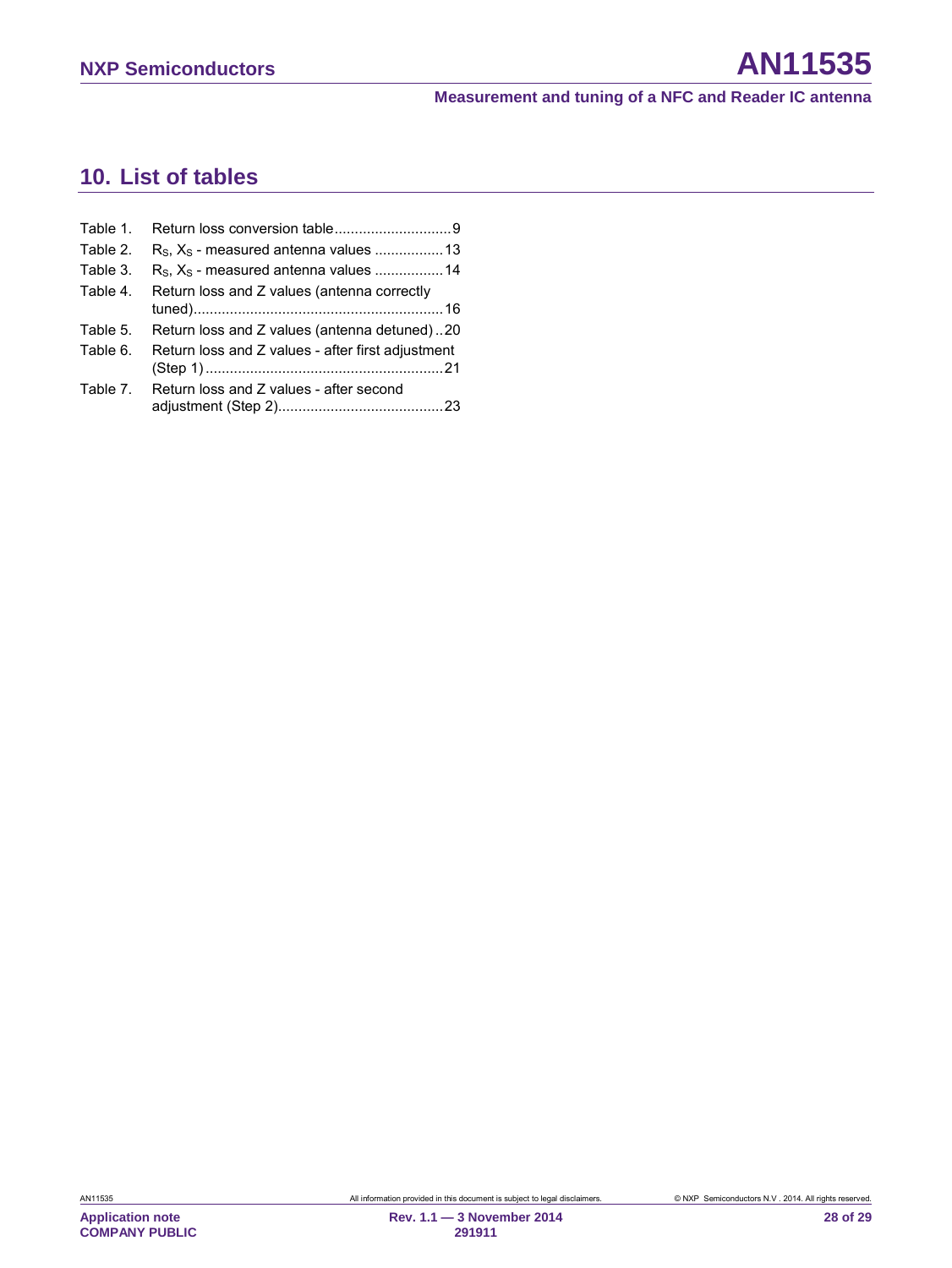# <span id="page-27-0"></span>**10. List of tables**

| Table 1. |                                                   |
|----------|---------------------------------------------------|
| Table 2. |                                                   |
| Table 3. | $R_s$ , $X_s$ - measured antenna values 14        |
| Table 4. | Return loss and Z values (antenna correctly       |
| Table 5. | Return loss and Z values (antenna detuned)20      |
| Table 6. | Return loss and Z values - after first adjustment |
| Table 7. | Return loss and Z values - after second           |